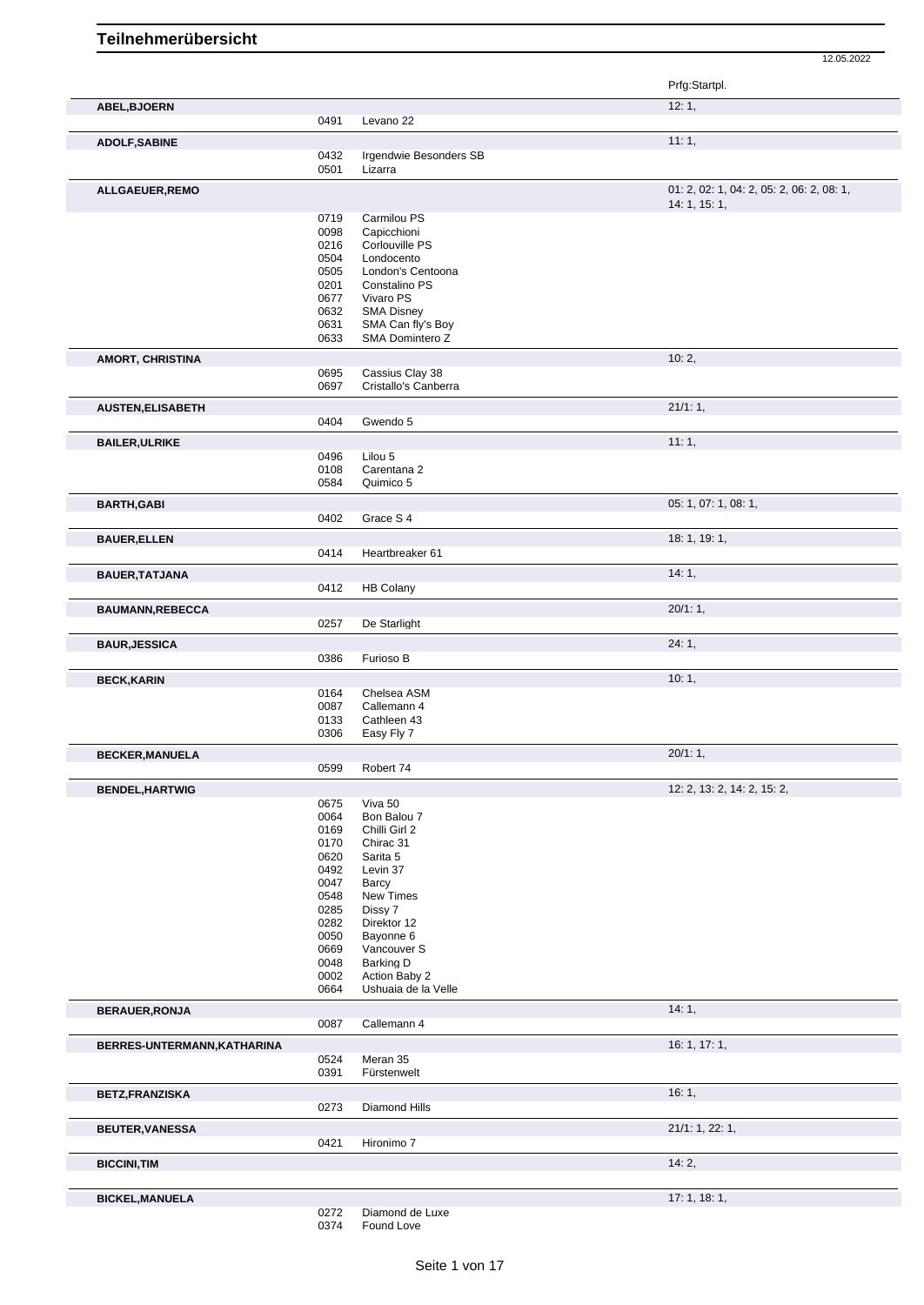Prfg:Startpl. **ABEL,BJOERN** 12: 1, 0491 Levano 22 **ADOLF,SABINE** 11: 1, 0432 Irgendwie Besonders SB<br>0501 Lizarra Lizarra **ALLGAEUER,REMO** 01: 2, 02: 1, 04: 2, 05: 2, 06: 2, 08: 1, 14: 1, 15: 1, 0719 Carmilou PS<br>0098 Capicchioni 0098 Capicchioni<br>0216 Corlouville F 0216 Corlouville PS<br>0504 Londocento Londocento 0505 London's Centoona<br>0201 Constalino PS Constalino PS 0677 Vivaro PS 0632 SMA Disney<br>0631 SMA Can fly SMA Can fly's Boy 0633 SMA Domintero Z **AMORT, CHRISTINA** 10: 2, 0695 Cassius Clay 38<br>0697 Cristallo's Canbe Cristallo's Canberra **AUSTEN,ELISABETH** 21/1: 1, 0404 Gwendo 5 **BAILER,ULRIKE** 11: 1, 0496 Lilou 5<br>0108 Carenta 0108 Carentana 2<br>0584 Quimico 5 Quimico 5 **BARTH,GABI** 05: 1, 07: 1, 08: 1, 07: 1, 08: 1, 07: 1, 08: 1, 07: 1, 08: 1, 07: 1, 08: 1, 07: 1, 08: 1, 07: 1, 08: 1, Grace S<sub>4</sub> **BAUER, ELLEN** 18: 1, 19: 1, 19: 1, 19: 1, 19: 1, 19: 1, 19: 1, 19: 1, 19: 1, 19: 1, 19: 1, 19: 1, 19: 1, 19: 1, Heartbreaker 61 **BAUER,TATJANA** 14: 1, 2012 HB Colany 2012 HB Colany 2014 14: 1, 2014 14: 1, 2014 14: 1, 2014 14: 1, 2014 14: 2014 14: 2014 14: 2014 15: 2014 16: 2014 17: 2014 17: 2014 17: 2014 18: 2014 17: 2014 17: 2014 17: 2014 17: 2014 HB Colany **BAUMANN,REBECCA** 20/1: 1, 20/1: 1, 20/1: 1, 20/1: 1, 20/1: 1, 20/1: 1, 20/1: 1, 20/1: 1, 20/1: 1, 20/1: 1, 20/1: 1, 20/1: 1, 20/1: 1, 20/1: 20/1: 20 De Starlight **BAUR,JESSICA** 24: 1, 0386 Furioso B **BECK,KARIN 10: 1, 2008, 2008, 2008, 2008, 2008, 2008, 2008, 2008, 2008, 2008, 2009, 2008, 2009, 2009, 2009, 200** 0164 Chelsea ASM 0087 Callemann 4 0133 Cathleen 43 0306 Easy Fly 7 **BECKER,MANUELA** 20/1: 1, Robert 74 **BENDEL,HARTWIG** 12: 2, 13: 2, 14: 2, 15: 2, 0675 Viva 50<br>0064 Bon Bal 0064 Bon Balou 7<br>0169 Chilli Girl 2 0169 Chilli Girl 2<br>0170 Chirac 31 0170 Chirac 31<br>0620 Sarita 5 0620 Sarita 5<br>0492 Levin 37 0492 Levin 37<br>0047 Barcy 0047 Barcy<br>0548 New T 0548 New Times<br>0285 Dissy 7 0285 Dissy 7<br>0282 Direktor 0282 Direktor 12<br>0050 Bayonne 6 0050 Bayonne 6<br>0669 Vancouver 0669 Vancouver S<br>0048 Barking D Barking D 0002 Action Baby 2 0664 Ushuaia de la Velle **BERAUER, RONJA** 14: 1, 20087 Callemann 4 Callemann 4 **BERRES-UNTERMANN, KATHARINA** 16: 1, 17: 1, 0524 Meran 35 0391 Fürstenwelt **BETZ,FRANZISKA** 16: 1, 0273 Diamond Hills **BEUTER,VANESSA** 21/1: 1, 22: 1, 0421 Hironimo 7 **BICCINI,TIM** 14: 2, **BICKEL,MANUELA** 17: 1, 18: 1,

<sup>0272</sup> Diamond de Luxe<br>0374 Found Love

Found Love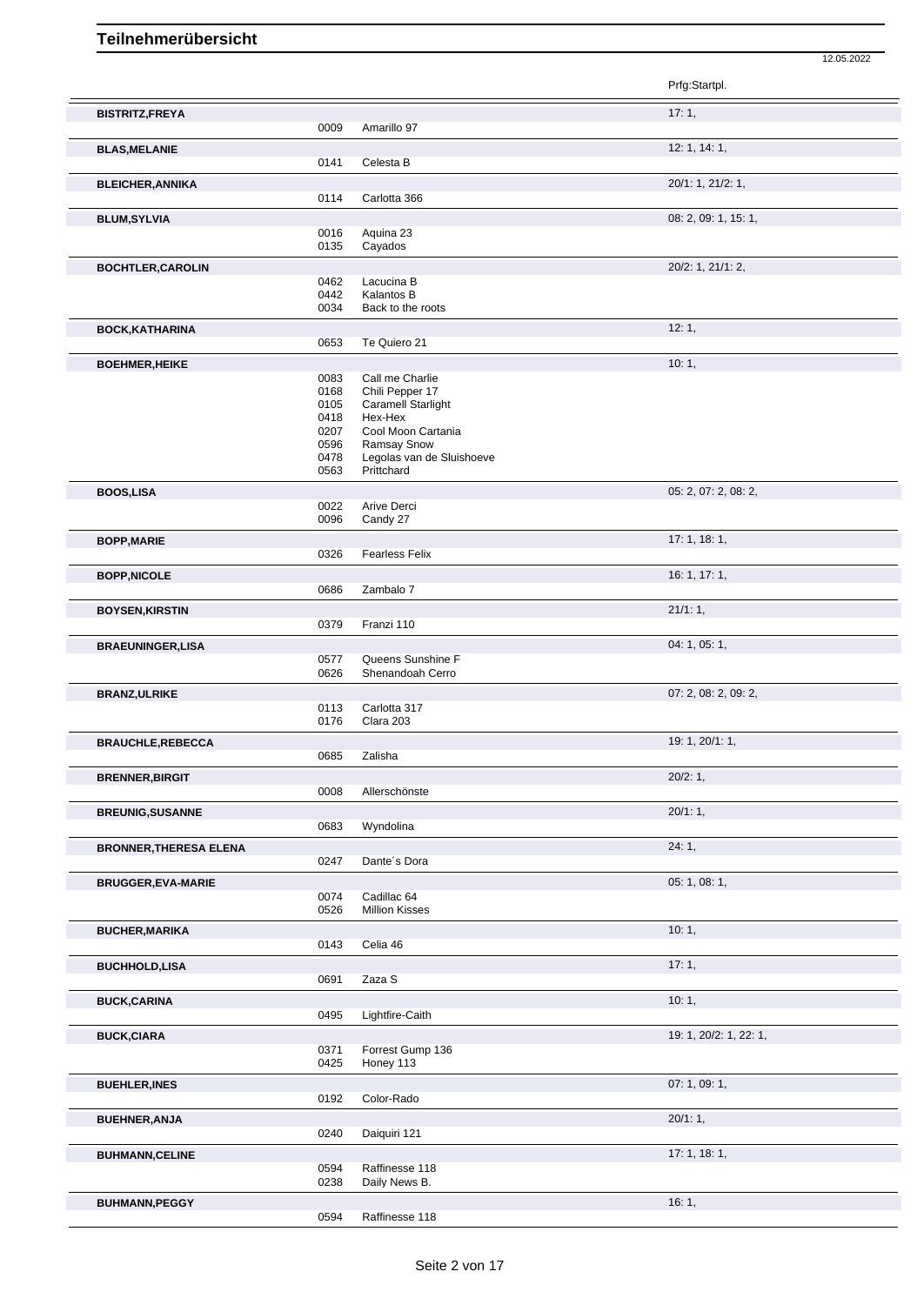|                               |              |                                       | Prfg:Startpl.          |
|-------------------------------|--------------|---------------------------------------|------------------------|
| <b>BISTRITZ,FREYA</b>         |              |                                       | 17:1,                  |
|                               | 0009         | Amarillo 97                           |                        |
| <b>BLAS, MELANIE</b>          |              |                                       | 12: 1, 14: 1,          |
|                               | 0141         | Celesta B                             |                        |
| <b>BLEICHER, ANNIKA</b>       |              |                                       | 20/1: 1, 21/2: 1,      |
|                               | 0114         | Carlotta 366                          |                        |
| <b>BLUM, SYLVIA</b>           |              |                                       | 08: 2, 09: 1, 15: 1,   |
|                               | 0016<br>0135 | Aquina 23<br>Cayados                  |                        |
| <b>BOCHTLER, CAROLIN</b>      |              |                                       | 20/2: 1, 21/1: 2,      |
|                               | 0462         | Lacucina B                            |                        |
|                               | 0442         | Kalantos B                            |                        |
|                               | 0034         | Back to the roots                     |                        |
| <b>BOCK, KATHARINA</b>        | 0653         | Te Quiero 21                          | 12:1,                  |
|                               |              |                                       |                        |
| <b>BOEHMER, HEIKE</b>         | 0083         | Call me Charlie                       | 10:1,                  |
|                               | 0168         | Chili Pepper 17                       |                        |
|                               | 0105         | <b>Caramell Starlight</b>             |                        |
|                               | 0418<br>0207 | Hex-Hex<br>Cool Moon Cartania         |                        |
|                               | 0596         | Ramsay Snow                           |                        |
|                               | 0478         | Legolas van de Sluishoeve             |                        |
|                               | 0563         | Prittchard                            |                        |
| <b>BOOS,LISA</b>              | 0022         | Arive Derci                           | 05: 2, 07: 2, 08: 2,   |
|                               | 0096         | Candy 27                              |                        |
| <b>BOPP, MARIE</b>            |              |                                       | 17:1, 18:1,            |
|                               | 0326         | <b>Fearless Felix</b>                 |                        |
| <b>BOPP, NICOLE</b>           |              |                                       | 16: 1, 17: 1,          |
|                               | 0686         | Zambalo 7                             |                        |
| <b>BOYSEN, KIRSTIN</b>        |              |                                       | 21/1:1,                |
|                               | 0379         | Franzi 110                            |                        |
| <b>BRAEUNINGER,LISA</b>       |              |                                       | 04: 1, 05: 1,          |
|                               | 0577<br>0626 | Queens Sunshine F<br>Shenandoah Cerro |                        |
|                               |              |                                       |                        |
| <b>BRANZ, ULRIKE</b>          | 0113         | Carlotta 317                          | 07: 2, 08: 2, 09: 2,   |
|                               | 0176         | Clara 203                             |                        |
| <b>BRAUCHLE, REBECCA</b>      |              |                                       | 19: 1, 20/1: 1,        |
|                               | 0685         | Zalisha                               |                        |
| <b>BRENNER, BIRGIT</b>        |              |                                       | 20/2:1,                |
|                               | 0008         | Allerschönste                         |                        |
| <b>BREUNIG, SUSANNE</b>       |              |                                       | 20/1:1,                |
|                               | 0683         | Wyndolina                             |                        |
| <b>BRONNER, THERESA ELENA</b> |              |                                       | 24:1,                  |
|                               | 0247         | Dante's Dora                          |                        |
| <b>BRUGGER, EVA-MARIE</b>     |              | Cadillac 64                           | 05: 1, 08: 1,          |
|                               | 0074<br>0526 | <b>Million Kisses</b>                 |                        |
| <b>BUCHER, MARIKA</b>         |              |                                       | 10:1,                  |
|                               | 0143         | Celia 46                              |                        |
| <b>BUCHHOLD,LISA</b>          |              |                                       | 17:1,                  |
|                               | 0691         | Zaza S                                |                        |
| <b>BUCK, CARINA</b>           |              |                                       | 10:1,                  |
|                               | 0495         | Lightfire-Caith                       |                        |
| <b>BUCK,CIARA</b>             |              |                                       | 19: 1, 20/2: 1, 22: 1, |
|                               | 0371         | Forrest Gump 136                      |                        |
|                               | 0425         | Honey 113                             |                        |
| <b>BUEHLER, INES</b>          |              |                                       | 07: 1, 09: 1,          |
|                               | 0192         | Color-Rado                            |                        |
| <b>BUEHNER, ANJA</b>          | 0240         | Daiquiri 121                          | 20/1:1,                |
|                               |              |                                       |                        |
| <b>BUHMANN, CELINE</b>        | 0594         | Raffinesse 118                        | 17:1, 18:1,            |
|                               | 0238         | Daily News B.                         |                        |
| <b>BUHMANN, PEGGY</b>         |              |                                       | 16:1,                  |
|                               | 0594         | Raffinesse 118                        |                        |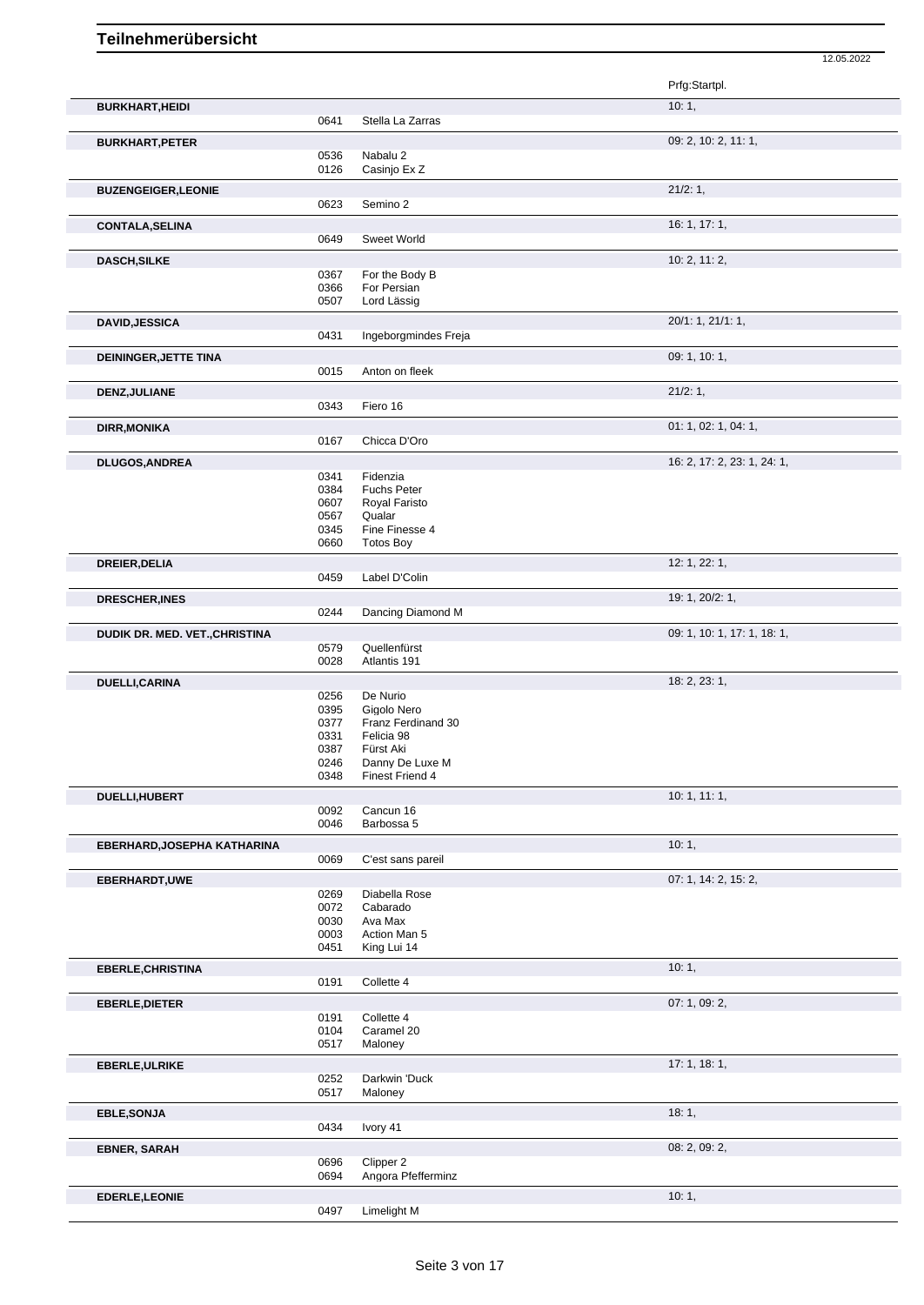|                                |              |                                    | Prfg:Startpl.               |
|--------------------------------|--------------|------------------------------------|-----------------------------|
| <b>BURKHART, HEIDI</b>         |              |                                    | 10:1,                       |
|                                | 0641         | Stella La Zarras                   |                             |
| <b>BURKHART, PETER</b>         |              |                                    | 09: 2, 10: 2, 11: 1,        |
|                                | 0536         | Nabalu 2                           |                             |
|                                | 0126         | Casinjo Ex Z                       |                             |
| <b>BUZENGEIGER, LEONIE</b>     |              |                                    | 21/2: 1,                    |
|                                | 0623         | Semino 2                           |                             |
| <b>CONTALA, SELINA</b>         |              |                                    | 16: 1, 17: 1,               |
|                                | 0649         | <b>Sweet World</b>                 |                             |
| <b>DASCH, SILKE</b>            |              | For the Body B                     | 10: 2, 11: 2,               |
|                                | 0367<br>0366 | For Persian                        |                             |
|                                | 0507         | Lord Lässig                        |                             |
| <b>DAVID, JESSICA</b>          |              |                                    | 20/1: 1, 21/1: 1,           |
|                                | 0431         | Ingeborgmindes Freja               |                             |
| DEININGER, JETTE TINA          |              |                                    | 09: 1, 10: 1,               |
|                                | 0015         | Anton on fleek                     |                             |
| DENZ, JULIANE                  |              |                                    | 21/2:1,                     |
|                                | 0343         | Fiero 16                           |                             |
| <b>DIRR, MONIKA</b>            |              |                                    | 01: 1, 02: 1, 04: 1,        |
|                                | 0167         | Chicca D'Oro                       |                             |
| <b>DLUGOS, ANDREA</b>          |              |                                    | 16: 2, 17: 2, 23: 1, 24: 1, |
|                                | 0341<br>0384 | Fidenzia<br><b>Fuchs Peter</b>     |                             |
|                                | 0607         | Royal Faristo                      |                             |
|                                | 0567         | Qualar                             |                             |
|                                | 0345<br>0660 | Fine Finesse 4<br><b>Totos Boy</b> |                             |
|                                |              |                                    |                             |
| <b>DREIER, DELIA</b>           | 0459         | Label D'Colin                      | 12: 1, 22: 1,               |
|                                |              |                                    | 19: 1, 20/2: 1,             |
| <b>DRESCHER, INES</b>          | 0244         | Dancing Diamond M                  |                             |
| DUDIK DR. MED. VET., CHRISTINA |              |                                    | 09: 1, 10: 1, 17: 1, 18: 1, |
|                                | 0579         | Quellenfürst                       |                             |
|                                | 0028         | Atlantis 191                       |                             |
| DUELLI, CARINA                 |              |                                    | 18: 2, 23: 1,               |
|                                | 0256<br>0395 | De Nurio<br>Gigolo Nero            |                             |
|                                | 0377         | Franz Ferdinand 30                 |                             |
|                                | 0331         | Felicia 98                         |                             |
|                                | 0387<br>0246 | Fürst Aki<br>Danny De Luxe M       |                             |
|                                | 0348         | Finest Friend 4                    |                             |
| DUELLI, HUBERT                 |              |                                    | 10:1, 11:1,                 |
|                                | 0092         | Cancun 16<br>Barbossa 5            |                             |
|                                | 0046         |                                    |                             |
| EBERHARD, JOSEPHA KATHARINA    | 0069         | C'est sans pareil                  | 10:1,                       |
|                                |              |                                    | 07: 1, 14: 2, 15: 2,        |
| EBERHARDT, UWE                 | 0269         | Diabella Rose                      |                             |
|                                | 0072         | Cabarado                           |                             |
|                                | 0030<br>0003 | Ava Max<br>Action Man 5            |                             |
|                                | 0451         | King Lui 14                        |                             |
| <b>EBERLE, CHRISTINA</b>       |              |                                    | 10:1,                       |
|                                | 0191         | Collette 4                         |                             |
| <b>EBERLE, DIETER</b>          |              |                                    | 07: 1, 09: 2,               |
|                                | 0191         | Collette 4                         |                             |
|                                | 0104<br>0517 | Caramel 20<br>Maloney              |                             |
|                                |              |                                    | 17: 1, 18: 1,               |
| <b>EBERLE, ULRIKE</b>          | 0252         | Darkwin 'Duck                      |                             |
|                                | 0517         | Maloney                            |                             |
| <b>EBLE, SONJA</b>             |              |                                    | 18:1,                       |
|                                | 0434         | Ivory 41                           |                             |
| <b>EBNER, SARAH</b>            |              |                                    | 08: 2, 09: 2,               |

12.05.2022

 Clipper 2 Angora Pfefferminz

**EDERLE,LEONIE** 10: 1, Limelight M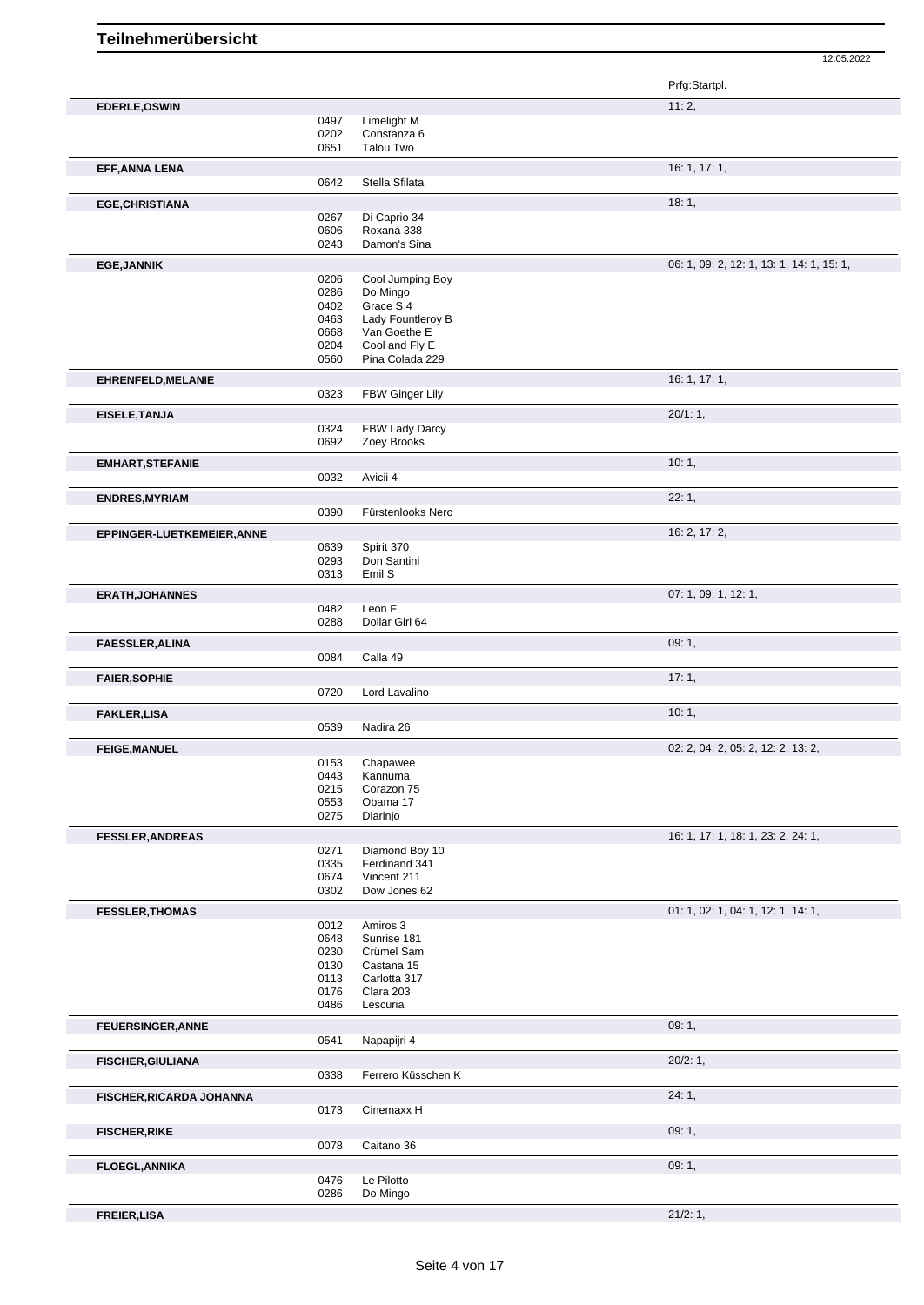|                            |              |                                  | Prfg:Startpl.                             |
|----------------------------|--------------|----------------------------------|-------------------------------------------|
| EDERLE, OSWIN              |              |                                  | 11:2,                                     |
|                            | 0497         | Limelight M                      |                                           |
|                            | 0202         | Constanza 6                      |                                           |
|                            | 0651         | Talou Two                        |                                           |
| EFF, ANNA LENA             |              |                                  | 16: 1, 17: 1,                             |
|                            | 0642         | Stella Sfilata                   |                                           |
|                            |              |                                  |                                           |
| <b>EGE, CHRISTIANA</b>     |              |                                  | 18:1,                                     |
|                            | 0267<br>0606 | Di Caprio 34<br>Roxana 338       |                                           |
|                            | 0243         | Damon's Sina                     |                                           |
|                            |              |                                  |                                           |
| <b>EGE, JANNIK</b>         |              |                                  | 06: 1, 09: 2, 12: 1, 13: 1, 14: 1, 15: 1, |
|                            | 0206         | Cool Jumping Boy                 |                                           |
|                            | 0286<br>0402 | Do Mingo<br>Grace S <sub>4</sub> |                                           |
|                            | 0463         | Lady Fountleroy B                |                                           |
|                            | 0668         | Van Goethe E                     |                                           |
|                            | 0204         | Cool and Fly E                   |                                           |
|                            | 0560         | Pina Colada 229                  |                                           |
| EHRENFELD, MELANIE         |              |                                  | 16: 1, 17: 1,                             |
|                            | 0323         | FBW Ginger Lily                  |                                           |
|                            |              |                                  |                                           |
| EISELE, TANJA              |              |                                  | $20/1:1$ ,                                |
|                            | 0324         | FBW Lady Darcy                   |                                           |
|                            | 0692         | Zoey Brooks                      |                                           |
| <b>EMHART, STEFANIE</b>    |              |                                  | 10:1,                                     |
|                            | 0032         | Avicii 4                         |                                           |
| <b>ENDRES, MYRIAM</b>      |              |                                  | 22:1,                                     |
|                            | 0390         | Fürstenlooks Nero                |                                           |
|                            |              |                                  |                                           |
| EPPINGER-LUETKEMEIER, ANNE |              |                                  | 16: 2, 17: 2,                             |
|                            | 0639         | Spirit 370                       |                                           |
|                            | 0293<br>0313 | Don Santini<br>Emil S            |                                           |
|                            |              |                                  |                                           |
| <b>ERATH, JOHANNES</b>     |              |                                  | 07: 1, 09: 1, 12: 1,                      |
|                            | 0482         | Leon F                           |                                           |
|                            | 0288         | Dollar Girl 64                   |                                           |
| <b>FAESSLER, ALINA</b>     |              |                                  | 09:1,                                     |
|                            | 0084         | Calla 49                         |                                           |
|                            |              |                                  | 17:1,                                     |
| <b>FAIER, SOPHIE</b>       | 0720         | Lord Lavalino                    |                                           |
|                            |              |                                  |                                           |
| <b>FAKLER,LISA</b>         |              |                                  | 10:1,                                     |
|                            | 0539         | Nadira 26                        |                                           |
| <b>FEIGE, MANUEL</b>       |              |                                  | 02: 2, 04: 2, 05: 2, 12: 2, 13: 2,        |
|                            | 0153         | Chapawee                         |                                           |
|                            | 0443         | Kannuma                          |                                           |
|                            | 0215         | Corazon 75                       |                                           |
|                            | 0553         | Obama 17                         |                                           |
|                            | 0275         | Diarinjo                         |                                           |
| <b>FESSLER, ANDREAS</b>    |              |                                  | 16: 1, 17: 1, 18: 1, 23: 2, 24: 1,        |
|                            | 0271         | Diamond Boy 10                   |                                           |
|                            | 0335         | Ferdinand 341                    |                                           |
|                            | 0674         | Vincent 211                      |                                           |
|                            | 0302         | Dow Jones 62                     |                                           |
| <b>FESSLER, THOMAS</b>     |              |                                  | 01: 1, 02: 1, 04: 1, 12: 1, 14: 1,        |
|                            | 0012         | Amiros 3                         |                                           |
|                            | 0648         | Sunrise 181                      |                                           |
|                            | 0230         | Crümel Sam                       |                                           |
|                            | 0130         | Castana 15                       |                                           |
|                            | 0113<br>0176 | Carlotta 317<br>Clara 203        |                                           |
|                            | 0486         | Lescuria                         |                                           |
|                            |              |                                  |                                           |
| <b>FEUERSINGER, ANNE</b>   |              |                                  | 09:1,                                     |
|                            | 0541         | Napapijri 4                      |                                           |
| <b>FISCHER, GIULIANA</b>   |              |                                  | 20/2:1,                                   |
|                            | 0338         | Ferrero Küsschen K               |                                           |
| FISCHER, RICARDA JOHANNA   |              |                                  | 24:1,                                     |
|                            | 0173         | Cinemaxx H                       |                                           |
|                            |              |                                  |                                           |
| <b>FISCHER, RIKE</b>       |              |                                  | 09:1,                                     |
|                            | 0078         | Caitano 36                       |                                           |
| <b>FLOEGL, ANNIKA</b>      |              |                                  | 09:1,                                     |
|                            | 0476         | Le Pilotto                       |                                           |
|                            | 0286         | Do Mingo                         |                                           |
| <b>FREIER, LISA</b>        |              |                                  | 21/2:1,                                   |
|                            |              |                                  |                                           |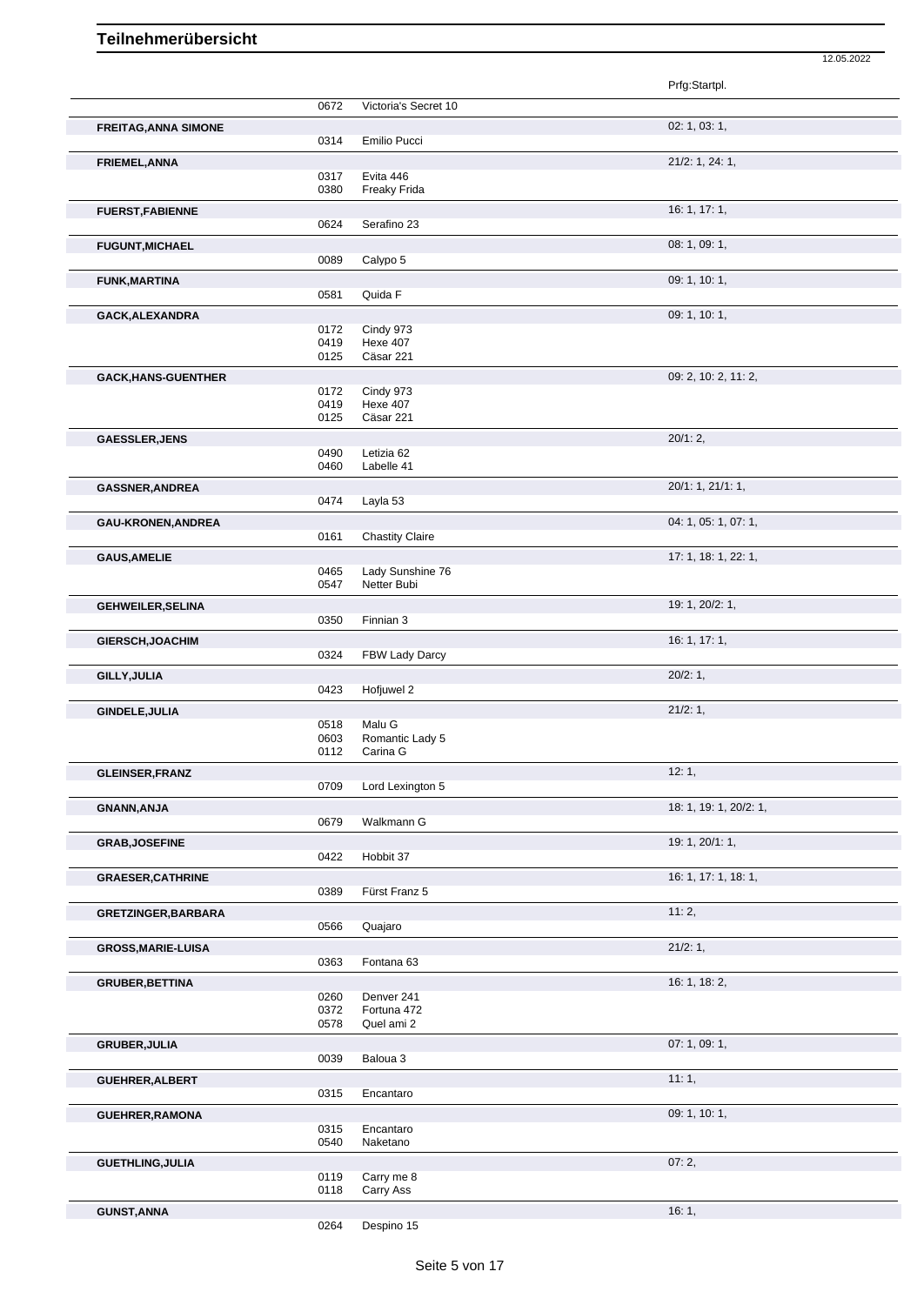|                             |              |                              | Prfg:Startpl.          |
|-----------------------------|--------------|------------------------------|------------------------|
|                             | 0672         | Victoria's Secret 10         |                        |
| <b>FREITAG, ANNA SIMONE</b> |              |                              | 02: 1, 03: 1,          |
|                             | 0314         | Emilio Pucci                 |                        |
|                             |              |                              | 21/2: 1, 24: 1,        |
| FRIEMEL, ANNA               | 0317         | Evita 446                    |                        |
|                             | 0380         | Freaky Frida                 |                        |
|                             |              |                              | 16: 1, 17: 1,          |
| <b>FUERST, FABIENNE</b>     | 0624         | Serafino 23                  |                        |
|                             |              |                              |                        |
| <b>FUGUNT, MICHAEL</b>      |              |                              | 08: 1, 09: 1,          |
|                             | 0089         | Calypo 5                     |                        |
| <b>FUNK, MARTINA</b>        |              |                              | 09: 1, 10: 1,          |
|                             | 0581         | Quida F                      |                        |
| GACK, ALEXANDRA             |              |                              | 09: 1, 10: 1,          |
|                             | 0172         | Cindy 973                    |                        |
|                             | 0419<br>0125 | <b>Hexe 407</b><br>Cäsar 221 |                        |
|                             |              |                              |                        |
| <b>GACK, HANS-GUENTHER</b>  |              |                              | 09: 2, 10: 2, 11: 2,   |
|                             | 0172<br>0419 | Cindy 973<br><b>Hexe 407</b> |                        |
|                             | 0125         | Cäsar 221                    |                        |
|                             |              |                              |                        |
| <b>GAESSLER, JENS</b>       |              |                              | 20/1:2,                |
|                             | 0490<br>0460 | Letizia 62<br>Labelle 41     |                        |
|                             |              |                              |                        |
| <b>GASSNER, ANDREA</b>      |              |                              | 20/1: 1, 21/1: 1,      |
|                             | 0474         | Layla 53                     |                        |
| GAU-KRONEN, ANDREA          |              |                              | 04: 1, 05: 1, 07: 1,   |
|                             | 0161         | <b>Chastity Claire</b>       |                        |
| <b>GAUS, AMELIE</b>         |              |                              | 17: 1, 18: 1, 22: 1,   |
|                             | 0465         | Lady Sunshine 76             |                        |
|                             | 0547         | Netter Bubi                  |                        |
| <b>GEHWEILER, SELINA</b>    |              |                              | 19: 1, 20/2: 1,        |
|                             | 0350         | Finnian 3                    |                        |
| GIERSCH, JOACHIM            |              |                              | 16: 1, 17: 1,          |
|                             | 0324         | FBW Lady Darcy               |                        |
| GILLY, JULIA                |              |                              | 20/2:1,                |
|                             | 0423         | Hofjuwel 2                   |                        |
|                             |              |                              | 21/2:1,                |
| GINDELE, JULIA              | 0518         | Malu G                       |                        |
|                             | 0603         | Romantic Lady 5              |                        |
|                             | 0112         | Carina G                     |                        |
| <b>GLEINSER, FRANZ</b>      |              |                              | 12:1,                  |
|                             | 0709         | Lord Lexington 5             |                        |
| <b>GNANN, ANJA</b>          |              |                              | 18: 1, 19: 1, 20/2: 1, |
|                             | 0679         | Walkmann G                   |                        |
|                             |              |                              | 19: 1, 20/1: 1,        |
| <b>GRAB, JOSEFINE</b>       | 0422         | Hobbit 37                    |                        |
|                             |              |                              |                        |
| <b>GRAESER, CATHRINE</b>    |              | Fürst Franz 5                | 16: 1, 17: 1, 18: 1,   |
|                             | 0389         |                              |                        |
| <b>GRETZINGER, BARBARA</b>  |              |                              | 11:2,                  |
|                             | 0566         | Quajaro                      |                        |
| <b>GROSS, MARIE-LUISA</b>   |              |                              | 21/2:1,                |
|                             | 0363         | Fontana 63                   |                        |
| <b>GRUBER, BETTINA</b>      |              |                              | 16: 1, 18: 2,          |
|                             | 0260         | Denver 241                   |                        |
|                             | 0372         | Fortuna 472                  |                        |
|                             | 0578         | Quel ami 2                   |                        |
| <b>GRUBER, JULIA</b>        |              |                              | 07: 1, 09: 1,          |
|                             | 0039         | Baloua 3                     |                        |
| GUEHRER, ALBERT             |              |                              | 11:1,                  |
|                             | 0315         | Encantaro                    |                        |
| <b>GUEHRER, RAMONA</b>      |              |                              | 09: 1, 10: 1,          |
|                             | 0315         | Encantaro                    |                        |
|                             | 0540         | Naketano                     |                        |
| <b>GUETHLING, JULIA</b>     |              |                              | 07:2,                  |
|                             | 0119         | Carry me 8                   |                        |
|                             |              |                              |                        |
|                             | 0118         | Carry Ass                    |                        |
|                             |              |                              |                        |
| <b>GUNST, ANNA</b>          | 0264         | Despino 15                   | 16:1,                  |

12.05.2022

Despino 15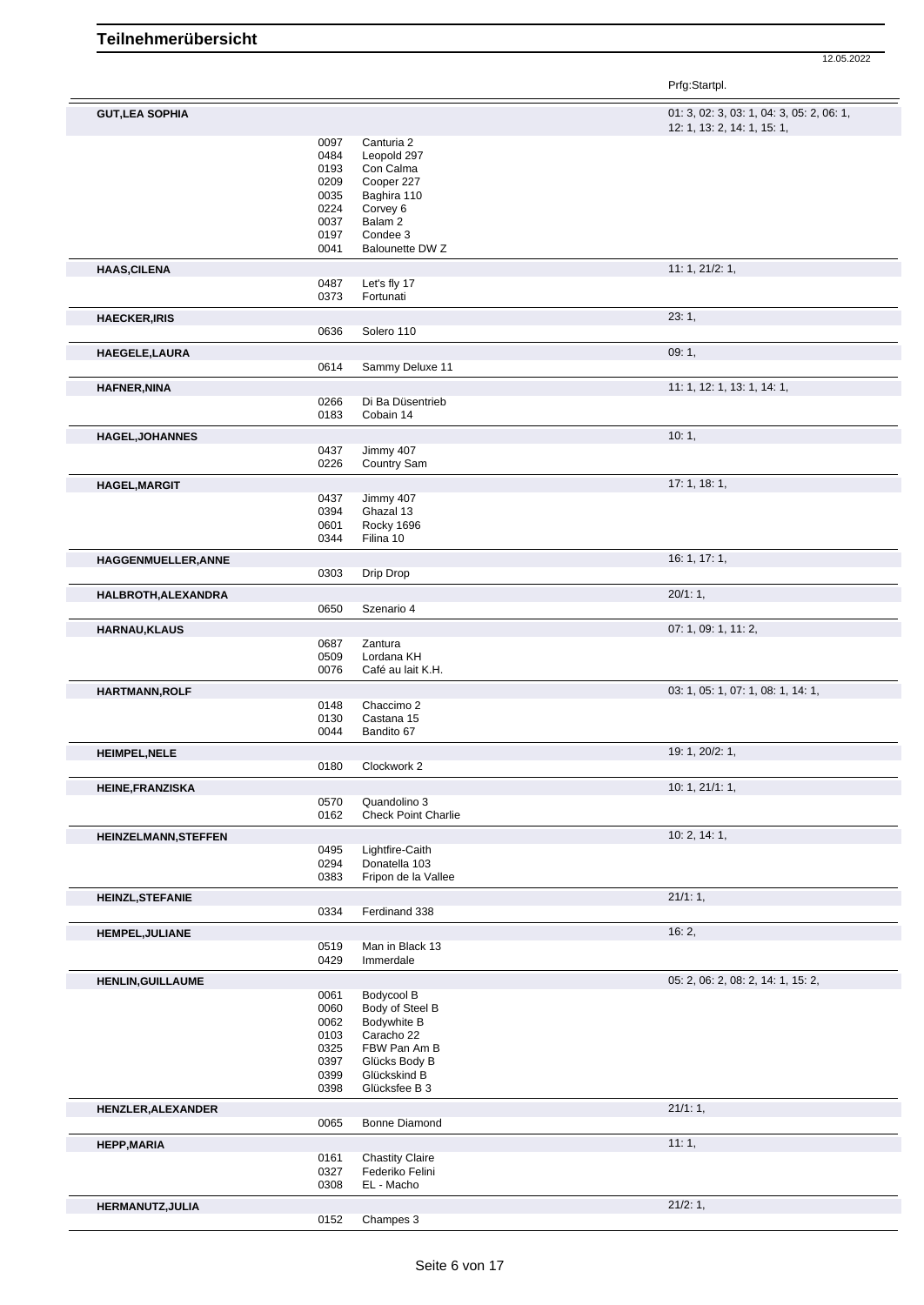Prfg:Startpl.

| <b>GUT, LEA SOPHIA</b>      |              |                                 | 01: 3, 02: 3, 03: 1, 04: 3, 05: 2, 06: 1, |
|-----------------------------|--------------|---------------------------------|-------------------------------------------|
|                             |              |                                 | 12: 1, 13: 2, 14: 1, 15: 1,               |
|                             | 0097         | Canturia 2                      |                                           |
|                             | 0484         | Leopold 297                     |                                           |
|                             | 0193         | Con Calma                       |                                           |
|                             | 0209         | Cooper 227                      |                                           |
|                             | 0035         | Baghira 110                     |                                           |
|                             | 0224         | Corvey 6                        |                                           |
|                             | 0037         | Balam 2                         |                                           |
|                             | 0197         | Condee 3                        |                                           |
|                             | 0041         | Balounette DW Z                 |                                           |
| <b>HAAS, CILENA</b>         |              |                                 | 11: 1, 21/2: 1,                           |
|                             | 0487         | Let's fly 17                    |                                           |
|                             | 0373         | Fortunati                       |                                           |
| <b>HAECKER, IRIS</b>        |              |                                 | 23:1,                                     |
|                             | 0636         | Solero 110                      |                                           |
| HAEGELE, LAURA              |              |                                 | 09:1,                                     |
|                             | 0614         | Sammy Deluxe 11                 |                                           |
| <b>HAFNER, NINA</b>         |              |                                 | 11: 1, 12: 1, 13: 1, 14: 1,               |
|                             | 0266         | Di Ba Düsentrieb                |                                           |
|                             | 0183         | Cobain 14                       |                                           |
|                             |              |                                 | 10:1,                                     |
| <b>HAGEL, JOHANNES</b>      | 0437         | Jimmy 407                       |                                           |
|                             | 0226         | <b>Country Sam</b>              |                                           |
| <b>HAGEL, MARGIT</b>        |              |                                 | 17:1, 18:1,                               |
|                             | 0437         | Jimmy 407                       |                                           |
|                             | 0394         | Ghazal 13                       |                                           |
|                             | 0601         | Rocky 1696                      |                                           |
|                             | 0344         | Filina 10                       |                                           |
| HAGGENMUELLER, ANNE         |              |                                 | 16: 1, 17: 1,                             |
|                             | 0303         | Drip Drop                       |                                           |
|                             |              |                                 |                                           |
| HALBROTH, ALEXANDRA         | 0650         | Szenario 4                      | 20/1:1,                                   |
|                             |              |                                 |                                           |
| <b>HARNAU, KLAUS</b>        |              |                                 | 07: 1, 09: 1, 11: 2,                      |
|                             | 0687         | Zantura                         |                                           |
|                             | 0509<br>0076 | Lordana KH<br>Café au lait K.H. |                                           |
|                             |              |                                 |                                           |
| <b>HARTMANN, ROLF</b>       |              |                                 | 03: 1, 05: 1, 07: 1, 08: 1, 14: 1,        |
|                             | 0148         | Chaccimo 2                      |                                           |
|                             | 0130         | Castana 15                      |                                           |
|                             | 0044         | Bandito 67                      |                                           |
| <b>HEIMPEL, NELE</b>        |              |                                 | 19: 1, 20/2: 1,                           |
|                             | 0180         | Clockwork 2                     |                                           |
| <b>HEINE, FRANZISKA</b>     |              |                                 | 10: 1, 21/1: 1,                           |
|                             | 0570         | Quandolino 3                    |                                           |
|                             | 0162         | <b>Check Point Charlie</b>      |                                           |
| <b>HEINZELMANN, STEFFEN</b> |              |                                 | 10: 2, 14: 1,                             |
|                             | 0495         | Lightfire-Caith                 |                                           |
|                             | 0294         | Donatella 103                   |                                           |
|                             | 0383         | Fripon de la Vallee             |                                           |
| <b>HEINZL, STEFANIE</b>     |              |                                 | 21/1:1,                                   |
|                             | 0334         | Ferdinand 338                   |                                           |
| <b>HEMPEL, JULIANE</b>      |              |                                 | 16:2,                                     |
|                             | 0519         | Man in Black 13                 |                                           |
|                             | 0429         | Immerdale                       |                                           |
| <b>HENLIN, GUILLAUME</b>    |              |                                 | 05: 2, 06: 2, 08: 2, 14: 1, 15: 2,        |
|                             | 0061         | Bodycool B                      |                                           |
|                             | 0060         | Body of Steel B                 |                                           |
|                             | 0062         | Bodywhite B                     |                                           |
|                             | 0103         | Caracho 22                      |                                           |
|                             | 0325         | FBW Pan Am B                    |                                           |
|                             | 0397         | Glücks Body B                   |                                           |
|                             | 0399         | Glückskind B                    |                                           |
|                             | 0398         | Glücksfee B 3                   |                                           |
| HENZLER, ALEXANDER          |              |                                 | 21/1:1,                                   |
|                             | 0065         | Bonne Diamond                   |                                           |
| <b>HEPP, MARIA</b>          |              |                                 | 11:1,                                     |
|                             | 0161         | <b>Chastity Claire</b>          |                                           |
|                             | 0327         | Federiko Felini                 |                                           |
|                             |              |                                 |                                           |
|                             | 0308         | EL - Macho                      |                                           |
| HERMANUTZ, JULIA            |              |                                 | 21/2:1,                                   |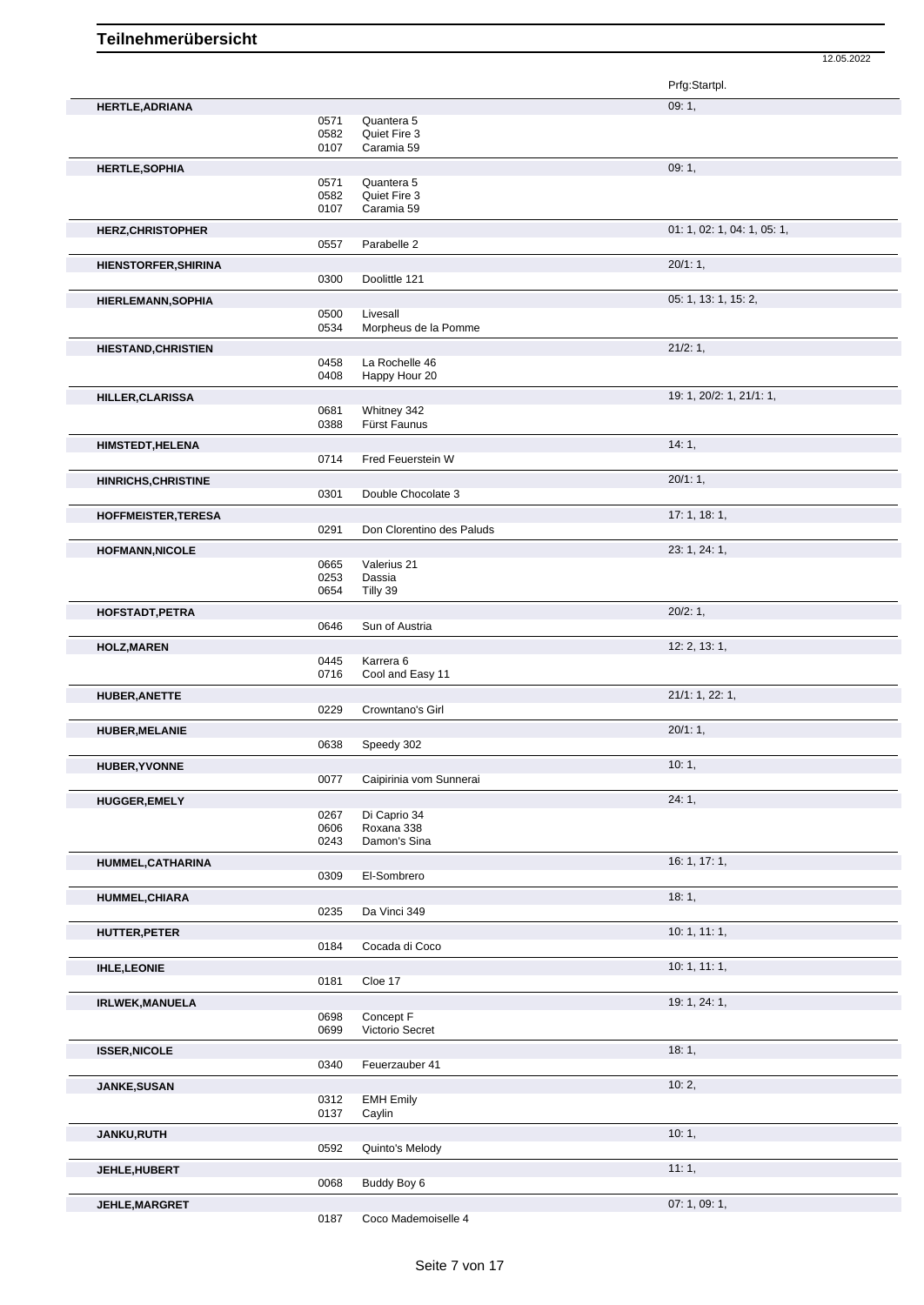Prfg:Startpl. **HERTLE, ADRIANA** 09: 1, 0571 Quantera 5<br>0582 Quiet Fire 3 0582 Quiet Fire 3<br>0107 Caramia 59 Caramia 59 **HERTLE,SOPHIA** 09: 1, 09: 1, 09: 1, 09: 1, 09: 1, 09: 1, 09: 1, 09: 1, 09: 1, 09: 1, 09: 1, 09: 1, 09: 1, 09: 1, 09: 1, 09: 1, 09: 1, 09: 1, 09: 1, 09: 1, 09: 1, 09: 1, 09: 1, 09: 1, 09: 1, 09: 1, 09: 1, 09: 1, 09: 1, 09: 0571 Quantera 5<br>0582 Quiet Fire 3 0582 Quiet Fire 3<br>0107 Caramia 59 Caramia 59 **HERZ, CHRISTOPHER** 01: 1, 05: 1, 05: 1, 05: 1, 05: 1, 05: 1, 05: 1, 05: 1, 05: 1, 05: 1, 05: 1, 05: 1, 05: 1, 05: 1, 05: 1, 05: 1, 05: 1, 05: 1, 05: 1, 05: 1, 05: 1, 05: 1, 05: 1, 05: 1, 05: 1, 05: 1, 05: 1, 05: 1, 05: 1, Parabelle 2 **HIENSTORFER, SHIRINA** 20/1: 1, 2001 20:00 20:00 20:00 Doolittle 121 Doolittle 121 **HIERLEMANN, SOPHIA** 05: 1, 13: 1, 15: 2, 05: 1, 13: 1, 15: 2, 05: 1, 13: 1, 15: 2, 05: 1, 13: 1, 15: 2, 05: 1, 13: 1, 15: 2, 05: 1, 13: 1, 15: 2, 05: 1, 13: 1, 15: 2, 05: 1, 13: 1, 15: 2, 05: 0 0500 Livesall<br>0534 Morphe Morpheus de la Pomme **HIESTAND,CHRISTIEN** 21/2: 1, 0458 La Rochelle 46<br>0408 Happy Hour 20 Happy Hour 20 **HILLER,CLARISSA** 19: 1, 20/2: 1, 21/1: 1, 0681 Whitney 342<br>0388 Fürst Faunus 0388 Fürst Faunus **HIMSTEDT, HELENA** 14: 1, **14: 1, 14: 1, 14: 1, 14: 1, 14: 1, 14: 1, 14: 1, 14: 1, 14: 1, 14: 1, 14: 1, 14: 1, 14: 1, 14: 1, 14: 1, 14: 1, 14: 1, 14: 1, 14: 1, 14: 1, 14: 1, 11: 1,** Fred Feuerstein W **HINRICHS, CHRISTINE** 20/1: 1, 20/1: 1, 20/1: 1, 20/1: 1, 20/1: 1, 20/1: 1, 20/1: 1, 20/1: 1, 20/1: 1, 20/1: 1, 20/1: 1, 20/1: 1, 20/1: 20/1: 20 Double Chocolate 3 **HOFFMEISTER,TERESA** 17: 1, 18: 1, 0291 Don Clorentino des Paluds **HOFMANN,NICOLE** 23: 1, 24: 1, 0665 Valerius 21<br>0253 Dassia Dassia 0654 Tilly 39 **HOFSTADT,PETRA** 20/2: 1, Sun of Austria **HOLZ,MAREN** 12: 2, 13: 1, 0445 Karrera 6<br>0716 Cool and Cool and Easy 11 **HUBER, ANETTE** 21/1: 1, 22: 1, 22: 1, 22: 2, 2012 229 Crowntano's Girl Crowntano's Girl **HUBER,MELANIE** 20/1: 1, Speedy 302 **HUBER, YVONNE** 10: 1, 20077 Caipirinia vom Sunnerai Caipirinia vom Sunnerai **HUGGER,EMELY** 24: 1, 0267 Di Caprio 34<br>0606 Roxana 338 Roxana 338 0243 Damon's Sina **HUMMEL,CATHARINA** 16: 1, 17: 1, 0309 El-Sombrero **HUMMEL, CHIARA** 18: 1, 1992, 1992, 1993, 1993, 1994, 1994, 1994, 1994, 1996, 1994, 1996, 1997, 1998, 1998, 199 Da Vinci 349 **HUTTER,PETER** 10: 1, 11: 1, 0184 Cocada di Coco **IHLE,LEONIE** 10: 1, 11: 1, 0181 Cloe 17 **IRLWEK,MANUELA** 19: 1, 24: 1, 0698 Concept F<br>0699 Victorio Se Victorio Secret **ISSER,NICOLE** 18: 1, Feuerzauber 41 **JANKE,SUSAN** 10: 2, 0312 EMH Emily<br>0137 Caylin Caylin **JANKU,RUTH** 10: 1, Quinto's Melody **JEHLE, HUBERT** 11: 1, 20068 Buddy Boy 6 **Discrete 11: 1, 20068** Buddy Boy 6 Buddy Boy 6 **JEHLE,MARGRET** 07: 1, 09: 1, 09: 1, 09: 1, 09: 1, 09: 1, 09: 1, 09: 1, 09: 1, 09: 1, 09: 1, 09: 1, 09: 1, 09: 1,

12.05.2022

Coco Mademoiselle 4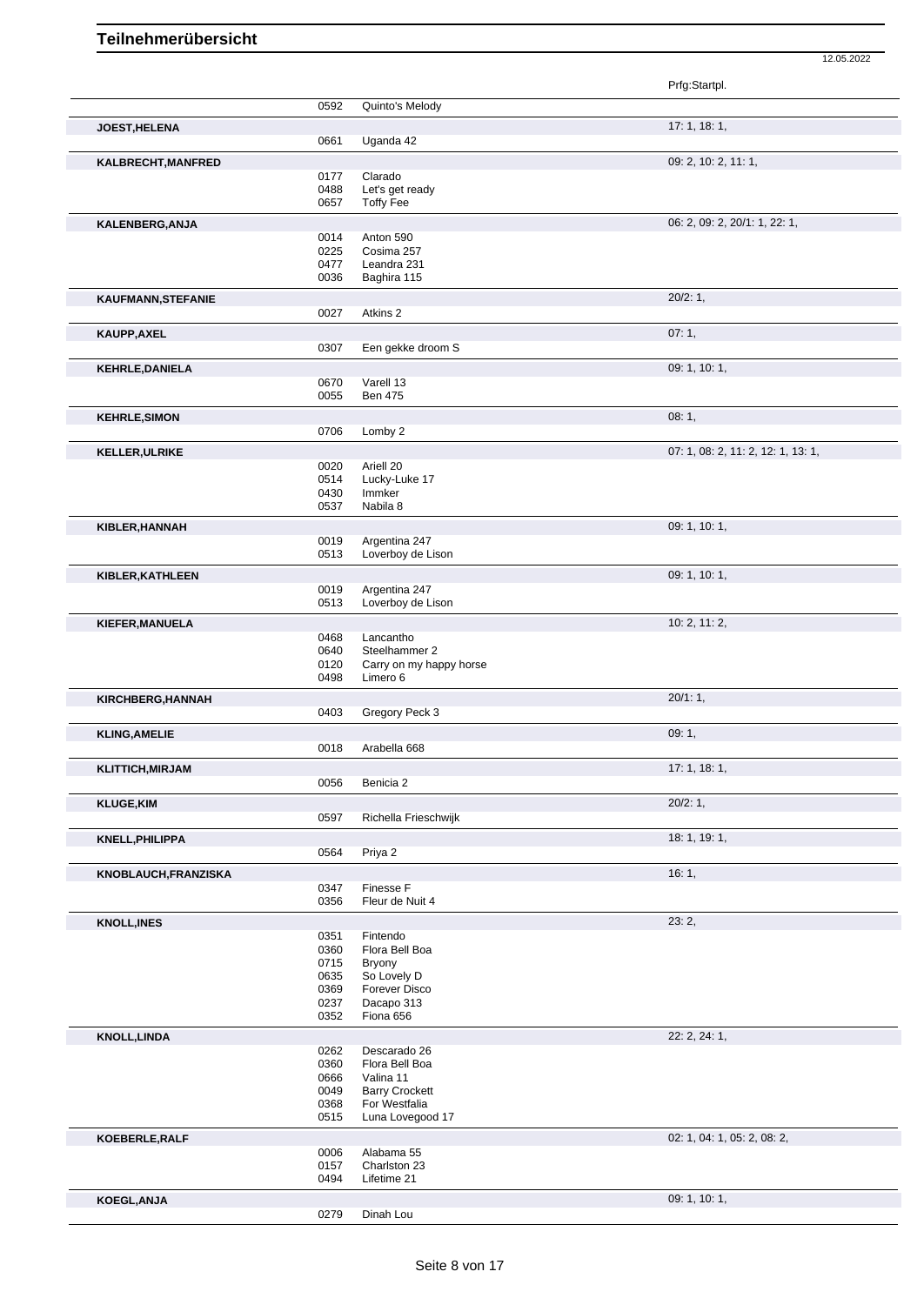|                         |              |                                        | Prfg:Startpl.                      |
|-------------------------|--------------|----------------------------------------|------------------------------------|
|                         | 0592         | Quinto's Melody                        |                                    |
| JOEST, HELENA           |              |                                        | 17:1, 18:1,                        |
|                         | 0661         | Uganda 42                              |                                    |
| KALBRECHT, MANFRED      |              |                                        | 09: 2, 10: 2, 11: 1,               |
|                         | 0177<br>0488 | Clarado<br>Let's get ready             |                                    |
|                         | 0657         | <b>Toffy Fee</b>                       |                                    |
| KALENBERG, ANJA         |              |                                        | 06: 2, 09: 2, 20/1: 1, 22: 1,      |
|                         | 0014         | Anton 590                              |                                    |
|                         | 0225         | Cosima 257                             |                                    |
|                         | 0477<br>0036 | Leandra 231<br>Baghira 115             |                                    |
|                         |              |                                        | 20/2:1,                            |
| KAUFMANN, STEFANIE      | 0027         | Atkins 2                               |                                    |
| KAUPP, AXEL             |              |                                        | 07:1,                              |
|                         | 0307         | Een gekke droom S                      |                                    |
| <b>KEHRLE, DANIELA</b>  |              |                                        | 09: 1, 10: 1,                      |
|                         | 0670         | Varell 13                              |                                    |
|                         | 0055         | <b>Ben 475</b>                         |                                    |
| <b>KEHRLE, SIMON</b>    |              |                                        | 08:1,                              |
|                         | 0706         | Lomby 2                                |                                    |
| <b>KELLER, ULRIKE</b>   |              |                                        | 07: 1, 08: 2, 11: 2, 12: 1, 13: 1, |
|                         | 0020<br>0514 | Ariell 20<br>Lucky-Luke 17             |                                    |
|                         | 0430         | Immker                                 |                                    |
|                         | 0537         | Nabila 8                               |                                    |
| KIBLER, HANNAH          |              |                                        | 09: 1, 10: 1,                      |
|                         | 0019         | Argentina 247                          |                                    |
|                         | 0513         | Loverboy de Lison                      |                                    |
| KIBLER, KATHLEEN        |              |                                        | 09: 1, 10: 1,                      |
|                         | 0019<br>0513 | Argentina 247<br>Loverboy de Lison     |                                    |
|                         |              |                                        | 10: 2, 11: 2,                      |
| KIEFER, MANUELA         | 0468         | Lancantho                              |                                    |
|                         | 0640         | Steelhammer 2                          |                                    |
|                         | 0120         | Carry on my happy horse                |                                    |
|                         | 0498         | Limero 6                               |                                    |
| KIRCHBERG, HANNAH       | 0403         | Gregory Peck 3                         | 20/1:1,                            |
| <b>KLING, AMELIE</b>    |              |                                        | 09:1,                              |
|                         | 0018         | Arabella 668                           |                                    |
| <b>KLITTICH, MIRJAM</b> |              |                                        | 17: 1, 18: 1,                      |
|                         | 0056         | Benicia 2                              |                                    |
| <b>KLUGE, KIM</b>       |              |                                        | 20/2:1,                            |
|                         | 0597         | Richella Frieschwijk                   |                                    |
| KNELL, PHILIPPA         |              |                                        | 18: 1, 19: 1,                      |
|                         | 0564         | Priya 2                                |                                    |
| KNOBLAUCH, FRANZISKA    |              |                                        | 16:1,                              |
|                         | 0347         | Finesse F                              |                                    |
|                         | 0356         | Fleur de Nuit 4                        |                                    |
| <b>KNOLL, INES</b>      |              |                                        | 23:2,                              |
|                         | 0351<br>0360 | Fintendo<br>Flora Bell Boa             |                                    |
|                         | 0715         | Bryony                                 |                                    |
|                         | 0635         | So Lovely D                            |                                    |
|                         | 0369         | Forever Disco                          |                                    |
|                         | 0237<br>0352 | Dacapo 313<br>Fiona 656                |                                    |
| <b>KNOLL, LINDA</b>     |              |                                        | 22: 2, 24: 1,                      |
|                         | 0262         | Descarado 26                           |                                    |
|                         | 0360         | Flora Bell Boa                         |                                    |
|                         | 0666         | Valina 11                              |                                    |
|                         | 0049<br>0368 | <b>Barry Crockett</b><br>For Westfalia |                                    |
|                         | 0515         | Luna Lovegood 17                       |                                    |
| KOEBERLE, RALF          |              |                                        | 02: 1, 04: 1, 05: 2, 08: 2,        |
|                         | 0006         | Alabama 55                             |                                    |
|                         | 0157<br>0494 | Charlston 23<br>Lifetime 21            |                                    |
|                         |              |                                        |                                    |
| KOEGL, ANJA             | 0279         | Dinah Lou                              | 09: 1, 10: 1,                      |
|                         |              |                                        |                                    |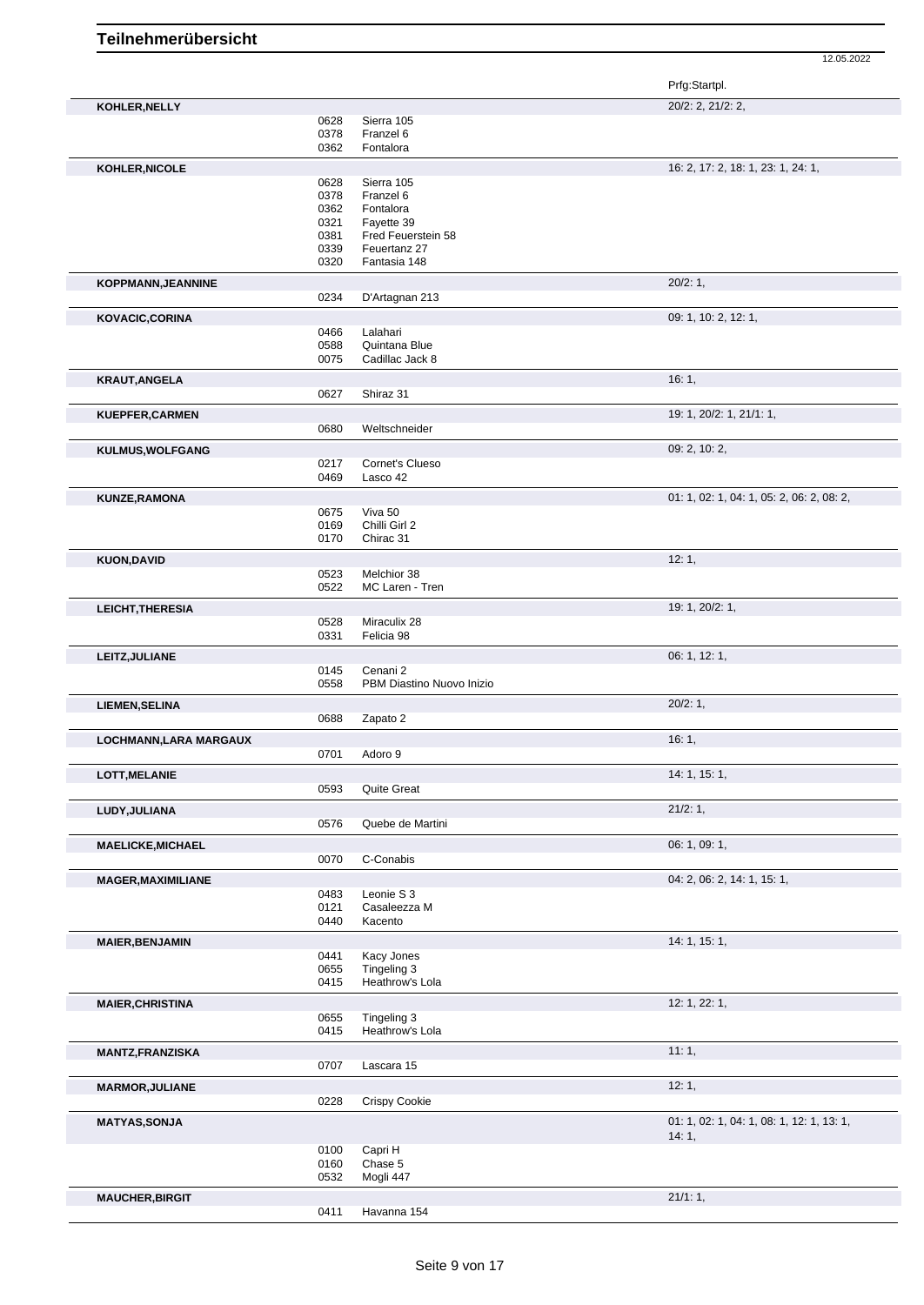|                           |              |                                    | Prfg:Startpl.                             |
|---------------------------|--------------|------------------------------------|-------------------------------------------|
| KOHLER, NELLY             |              |                                    | 20/2: 2, 21/2: 2,                         |
|                           | 0628         | Sierra 105                         |                                           |
|                           | 0378         | Franzel 6                          |                                           |
|                           | 0362         | Fontalora                          |                                           |
| KOHLER, NICOLE            |              |                                    | 16: 2, 17: 2, 18: 1, 23: 1, 24: 1,        |
|                           | 0628         | Sierra 105                         |                                           |
|                           | 0378         | Franzel 6                          |                                           |
|                           | 0362         | Fontalora                          |                                           |
|                           | 0321         | Fayette 39                         |                                           |
|                           | 0381<br>0339 | Fred Feuerstein 58<br>Feuertanz 27 |                                           |
|                           | 0320         | Fantasia 148                       |                                           |
|                           |              |                                    |                                           |
| KOPPMANN, JEANNINE        |              |                                    | 20/2:1,                                   |
|                           | 0234         | D'Artagnan 213                     |                                           |
| KOVACIC, CORINA           |              |                                    | 09: 1, 10: 2, 12: 1,                      |
|                           | 0466         | Lalahari                           |                                           |
|                           | 0588         | Quintana Blue                      |                                           |
|                           | 0075         | Cadillac Jack 8                    |                                           |
| <b>KRAUT, ANGELA</b>      |              |                                    | 16:1,                                     |
|                           | 0627         | Shiraz 31                          |                                           |
|                           |              |                                    | 19: 1, 20/2: 1, 21/1: 1,                  |
| KUEPFER, CARMEN           | 0680         | Weltschneider                      |                                           |
|                           |              |                                    |                                           |
| KULMUS, WOLFGANG          |              |                                    | 09: 2, 10: 2,                             |
|                           | 0217         | Cornet's Clueso                    |                                           |
|                           | 0469         | Lasco 42                           |                                           |
| <b>KUNZE, RAMONA</b>      |              |                                    | 01: 1, 02: 1, 04: 1, 05: 2, 06: 2, 08: 2, |
|                           | 0675         | Viva 50                            |                                           |
|                           | 0169         | Chilli Girl 2                      |                                           |
|                           | 0170         | Chirac 31                          |                                           |
| <b>KUON, DAVID</b>        |              |                                    | 12:1,                                     |
|                           | 0523         | Melchior 38                        |                                           |
|                           | 0522         | MC Laren - Tren                    |                                           |
|                           |              |                                    | 19: 1, 20/2: 1,                           |
| <b>LEICHT, THERESIA</b>   | 0528         | Miraculix 28                       |                                           |
|                           | 0331         | Felicia 98                         |                                           |
|                           |              |                                    |                                           |
| LEITZ, JULIANE            |              |                                    | 06: 1, 12: 1,                             |
|                           | 0145         | Cenani 2                           |                                           |
|                           | 0558         | PBM Diastino Nuovo Inizio          |                                           |
| <b>LIEMEN, SELINA</b>     |              |                                    | 20/2:1,                                   |
|                           | 0688         | Zapato 2                           |                                           |
| LOCHMANN, LARA MARGAUX    |              |                                    | 16:1,                                     |
|                           | 0701         | Adoro 9                            |                                           |
|                           |              |                                    |                                           |
| <b>LOTT, MELANIE</b>      | 0593         | Quite Great                        | 14: 1, 15: 1,                             |
|                           |              |                                    |                                           |
| LUDY, JULIANA             |              |                                    | 21/2: 1,                                  |
|                           | 0576         | Quebe de Martini                   |                                           |
| <b>MAELICKE, MICHAEL</b>  |              |                                    | 06: 1, 09: 1,                             |
|                           | 0070         | C-Conabis                          |                                           |
|                           |              |                                    | 04: 2, 06: 2, 14: 1, 15: 1,               |
| <b>MAGER, MAXIMILIANE</b> | 0483         | Leonie S 3                         |                                           |
|                           | 0121         | Casaleezza M                       |                                           |
|                           | 0440         | Kacento                            |                                           |
|                           |              |                                    |                                           |
| <b>MAIER, BENJAMIN</b>    |              |                                    | 14: 1, 15: 1,                             |
|                           | 0441         | Kacy Jones<br>Tingeling 3          |                                           |
|                           | 0655<br>0415 | Heathrow's Lola                    |                                           |
|                           |              |                                    |                                           |
| <b>MAIER, CHRISTINA</b>   |              |                                    | 12: 1, 22: 1,                             |
|                           | 0655         | Tingeling 3                        |                                           |
|                           | 0415         | Heathrow's Lola                    |                                           |
| <b>MANTZ, FRANZISKA</b>   |              |                                    | 11:1,                                     |
|                           | 0707         | Lascara 15                         |                                           |
|                           |              |                                    | 12:1,                                     |
| <b>MARMOR, JULIANE</b>    | 0228         | <b>Crispy Cookie</b>               |                                           |
|                           |              |                                    |                                           |
| <b>MATYAS, SONJA</b>      |              |                                    | 01: 1, 02: 1, 04: 1, 08: 1, 12: 1, 13: 1, |
|                           |              |                                    | 14:1,                                     |
|                           | 0100         | Capri H                            |                                           |
|                           | 0160         | Chase 5                            |                                           |
|                           | 0532         | Mogli 447                          |                                           |
| <b>MAUCHER, BIRGIT</b>    |              |                                    | 21/1:1,                                   |
|                           | 0411         | Havanna 154                        |                                           |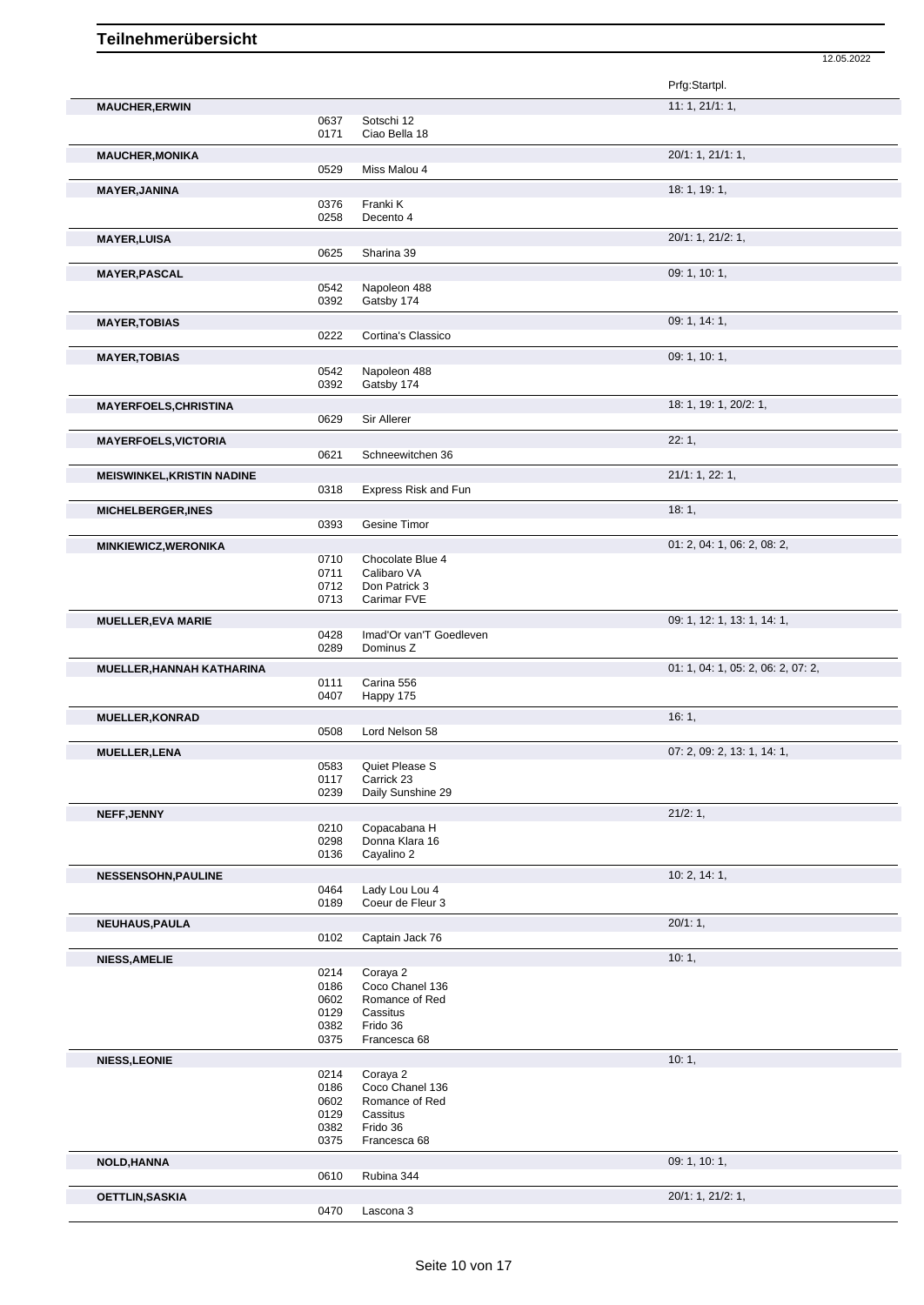|                                   |              |                                   | 12.05.2022                         |
|-----------------------------------|--------------|-----------------------------------|------------------------------------|
|                                   |              |                                   | Prfg:Startpl.                      |
| <b>MAUCHER, ERWIN</b>             |              |                                   | 11: 1, 21/1: 1,                    |
|                                   | 0637         | Sotschi 12                        |                                    |
|                                   | 0171         | Ciao Bella 18                     |                                    |
| <b>MAUCHER, MONIKA</b>            |              |                                   | 20/1: 1, 21/1: 1,                  |
|                                   | 0529         | Miss Malou 4                      |                                    |
|                                   |              |                                   |                                    |
| <b>MAYER, JANINA</b>              |              | Franki K                          | 18: 1, 19: 1,                      |
|                                   | 0376<br>0258 | Decento 4                         |                                    |
|                                   |              |                                   |                                    |
| <b>MAYER, LUISA</b>               |              |                                   | 20/1: 1, 21/2: 1,                  |
|                                   | 0625         | Sharina 39                        |                                    |
| <b>MAYER, PASCAL</b>              |              |                                   | 09: 1, 10: 1,                      |
|                                   | 0542         | Napoleon 488                      |                                    |
|                                   | 0392         | Gatsby 174                        |                                    |
| <b>MAYER, TOBIAS</b>              |              |                                   | 09: 1, 14: 1,                      |
|                                   | 0222         | Cortina's Classico                |                                    |
| <b>MAYER, TOBIAS</b>              |              |                                   | 09: 1, 10: 1,                      |
|                                   | 0542         | Napoleon 488                      |                                    |
|                                   | 0392         | Gatsby 174                        |                                    |
| <b>MAYERFOELS, CHRISTINA</b>      |              |                                   | 18: 1, 19: 1, 20/2: 1,             |
|                                   | 0629         | Sir Allerer                       |                                    |
|                                   |              |                                   |                                    |
| <b>MAYERFOELS, VICTORIA</b>       | 0621         | Schneewitchen 36                  | 22:1,                              |
|                                   |              |                                   |                                    |
| <b>MEISWINKEL, KRISTIN NADINE</b> |              |                                   | 21/1: 1, 22: 1,                    |
|                                   | 0318         | Express Risk and Fun              |                                    |
| <b>MICHELBERGER, INES</b>         |              |                                   | 18:1,                              |
|                                   | 0393         | Gesine Timor                      |                                    |
| <b>MINKIEWICZ, WERONIKA</b>       |              |                                   | 01: 2, 04: 1, 06: 2, 08: 2,        |
|                                   | 0710         | Chocolate Blue 4                  |                                    |
|                                   | 0711         | Calibaro VA                       |                                    |
|                                   | 0712         | Don Patrick 3                     |                                    |
|                                   | 0713         | Carimar FVE                       |                                    |
| <b>MUELLER, EVA MARIE</b>         |              |                                   | 09: 1, 12: 1, 13: 1, 14: 1,        |
|                                   | 0428         | Imad'Or van'T Goedleven           |                                    |
|                                   | 0289         | Dominus Z                         |                                    |
| <b>MUELLER, HANNAH KATHARINA</b>  |              |                                   | 01: 1, 04: 1, 05: 2, 06: 2, 07: 2, |
|                                   | 0111         | Carina 556                        |                                    |
|                                   | 0407         | Happy 175                         |                                    |
| <b>MUELLER, KONRAD</b>            |              |                                   | 16:1,                              |
|                                   | 0508         | Lord Nelson 58                    |                                    |
|                                   |              |                                   |                                    |
| <b>MUELLER, LENA</b>              | 0583         | Quiet Please S                    | 07: 2, 09: 2, 13: 1, 14: 1,        |
|                                   | 0117         | Carrick 23                        |                                    |
|                                   | 0239         | Daily Sunshine 29                 |                                    |
|                                   |              |                                   |                                    |
| NEFF, JENNY                       | 0210         | Copacabana H                      | 21/2:1,                            |
|                                   | 0298         | Donna Klara 16                    |                                    |
|                                   | 0136         | Cayalino 2                        |                                    |
| <b>NESSENSOHN, PAULINE</b>        |              |                                   | 10: 2, 14: 1,                      |
|                                   | 0464         | Lady Lou Lou 4                    |                                    |
|                                   | 0189         | Coeur de Fleur 3                  |                                    |
|                                   |              |                                   | 20/1:1,                            |
| NEUHAUS, PAULA                    | 0102         | Captain Jack 76                   |                                    |
|                                   |              |                                   |                                    |
| <b>NIESS, AMELIE</b>              |              |                                   | 10:1,                              |
|                                   | 0214         | Coraya 2                          |                                    |
|                                   | 0186<br>0602 | Coco Chanel 136<br>Romance of Red |                                    |
|                                   | 0129         | Cassitus                          |                                    |
|                                   | 0382         | Frido 36                          |                                    |
|                                   | 0375         | Francesca 68                      |                                    |
| <b>NIESS,LEONIE</b>               |              |                                   | 10:1,                              |
|                                   | 0214         | Coraya 2                          |                                    |
|                                   | 0186         | Coco Chanel 136                   |                                    |
|                                   | 0602         | Romance of Red                    |                                    |
|                                   | 0129         | Cassitus                          |                                    |
|                                   | 0382         | Frido 36                          |                                    |
|                                   | 0375         | Francesca 68                      |                                    |
| <b>NOLD, HANNA</b>                |              |                                   | 09: 1, 10: 1,                      |
|                                   | 0610         | Rubina 344                        |                                    |
| <b>OETTLIN, SASKIA</b>            |              |                                   | 20/1: 1, 21/2: 1,                  |
|                                   | 0470         | Lascona 3                         |                                    |
|                                   |              |                                   |                                    |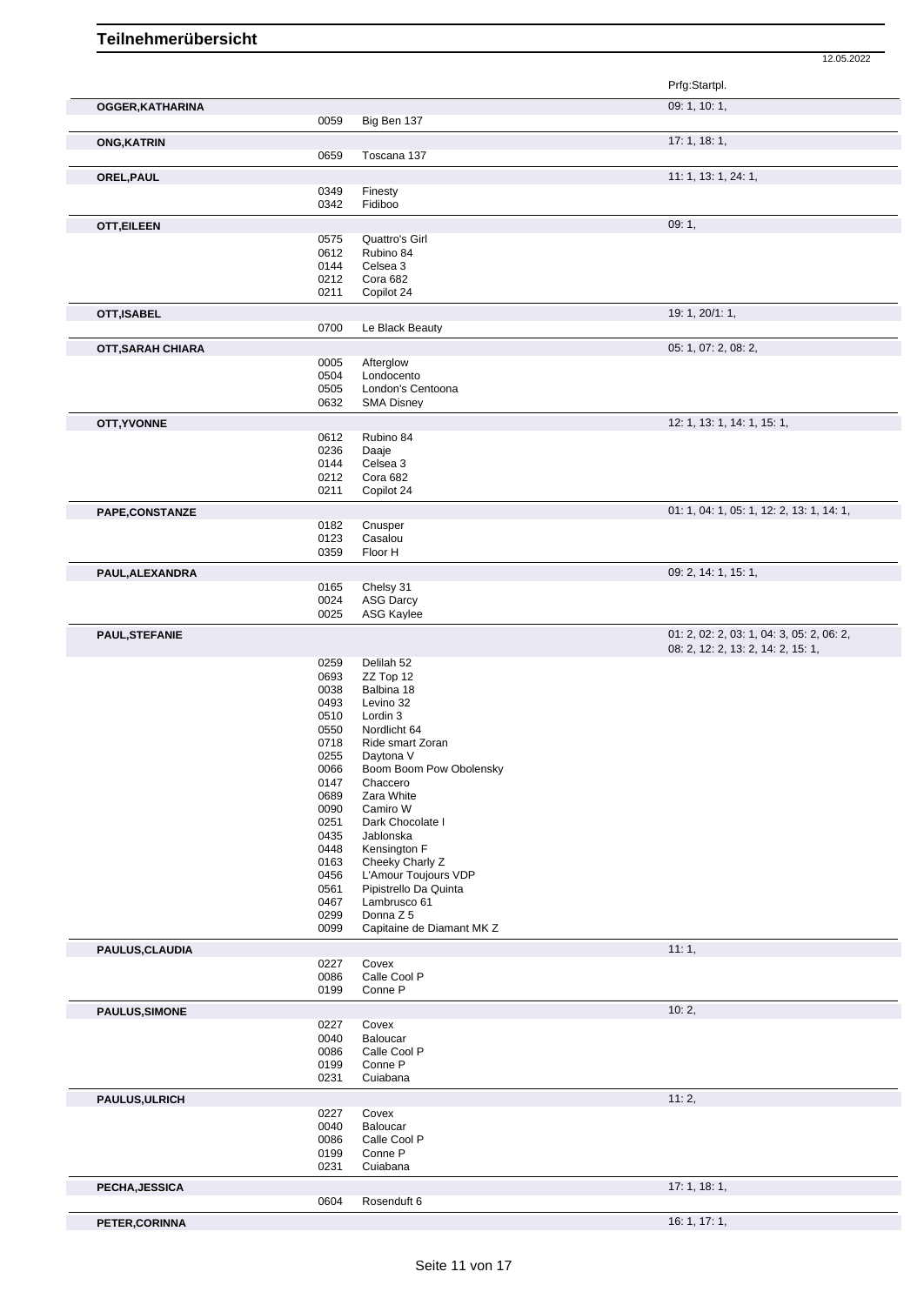|                       |              |                                        | 12.05.2022                                |
|-----------------------|--------------|----------------------------------------|-------------------------------------------|
|                       |              |                                        | Prfg:Startpl.                             |
| OGGER, KATHARINA      |              |                                        | 09: 1, 10: 1,                             |
|                       | 0059         | Big Ben 137                            |                                           |
| <b>ONG, KATRIN</b>    |              |                                        | 17: 1, 18: 1,                             |
|                       | 0659         | Toscana 137                            |                                           |
| OREL, PAUL            |              |                                        | 11: 1, 13: 1, 24: 1,                      |
|                       | 0349<br>0342 | Finesty<br>Fidiboo                     |                                           |
|                       |              |                                        | 09:1,                                     |
| <b>OTT, EILEEN</b>    | 0575         | Quattro's Girl                         |                                           |
|                       | 0612         | Rubino 84                              |                                           |
|                       | 0144         | Celsea 3                               |                                           |
|                       | 0212<br>0211 | Cora 682                               |                                           |
|                       |              | Copilot 24                             |                                           |
| OTT, ISABEL           | 0700         | Le Black Beauty                        | 19: 1, 20/1: 1,                           |
|                       |              |                                        |                                           |
| OTT, SARAH CHIARA     | 0005         | Afterglow                              | 05: 1, 07: 2, 08: 2,                      |
|                       | 0504         | Londocento                             |                                           |
|                       | 0505         | London's Centoona                      |                                           |
|                       | 0632         | <b>SMA Disney</b>                      |                                           |
| OTT, YVONNE           |              |                                        | 12: 1, 13: 1, 14: 1, 15: 1,               |
|                       | 0612         | Rubino 84                              |                                           |
|                       | 0236<br>0144 | Daaje<br>Celsea 3                      |                                           |
|                       | 0212         | Cora 682                               |                                           |
|                       | 0211         | Copilot 24                             |                                           |
| PAPE,CONSTANZE        |              |                                        | 01: 1, 04: 1, 05: 1, 12: 2, 13: 1, 14: 1, |
|                       | 0182         | Cnusper                                |                                           |
|                       | 0123<br>0359 | Casalou<br>Floor H                     |                                           |
|                       |              |                                        |                                           |
| PAUL, ALEXANDRA       | 0165         | Chelsy 31                              | 09: 2, 14: 1, 15: 1,                      |
|                       | 0024         | <b>ASG Darcy</b>                       |                                           |
|                       | 0025         | ASG Kaylee                             |                                           |
| PAUL, STEFANIE        |              |                                        | 01: 2, 02: 2, 03: 1, 04: 3, 05: 2, 06: 2, |
|                       |              |                                        | 08: 2, 12: 2, 13: 2, 14: 2, 15: 1,        |
|                       | 0259         | Delilah 52                             |                                           |
|                       | 0693<br>0038 | ZZ Top 12<br>Balbina 18                |                                           |
|                       | 0493         | Levino 32                              |                                           |
|                       | 0510         | Lordin 3                               |                                           |
|                       | 0550         | Nordlicht 64                           |                                           |
|                       | 0718         | Ride smart Zoran                       |                                           |
|                       | 0255<br>0066 | Daytona V<br>Boom Boom Pow Obolensky   |                                           |
|                       | 0147         | Chaccero                               |                                           |
|                       | 0689         | Zara White                             |                                           |
|                       | 0090         | Camiro W                               |                                           |
|                       | 0251         | Dark Chocolate I                       |                                           |
|                       | 0435<br>0448 | Jablonska<br>Kensington F              |                                           |
|                       | 0163         | Cheeky Charly Z                        |                                           |
|                       | 0456         | L'Amour Toujours VDP                   |                                           |
|                       | 0561         | Pipistrello Da Quinta                  |                                           |
|                       | 0467         | Lambrusco 61                           |                                           |
|                       | 0299<br>0099 | Donna Z 5<br>Capitaine de Diamant MK Z |                                           |
| PAULUS, CLAUDIA       |              |                                        | 11:1,                                     |
|                       | 0227         | Covex                                  |                                           |
|                       | 0086         | Calle Cool P                           |                                           |
|                       | 0199         | Conne P                                |                                           |
| <b>PAULUS, SIMONE</b> |              |                                        | 10:2,                                     |
|                       | 0227<br>0040 | Covex<br>Baloucar                      |                                           |
|                       | 0086         | Calle Cool P                           |                                           |
|                       | 0199         | Conne P                                |                                           |
|                       |              |                                        |                                           |
|                       | 0231         | Cuiabana                               |                                           |
|                       |              |                                        | 11:2,                                     |
|                       | 0227         | Covex                                  |                                           |
| PAULUS, ULRICH        | 0040         | Baloucar                               |                                           |
|                       | 0086         | Calle Cool P                           |                                           |
|                       | 0199<br>0231 | Conne P<br>Cuiabana                    |                                           |
|                       |              |                                        | 17: 1, 18: 1,                             |
| PECHA, JESSICA        | 0604         | Rosenduft 6                            |                                           |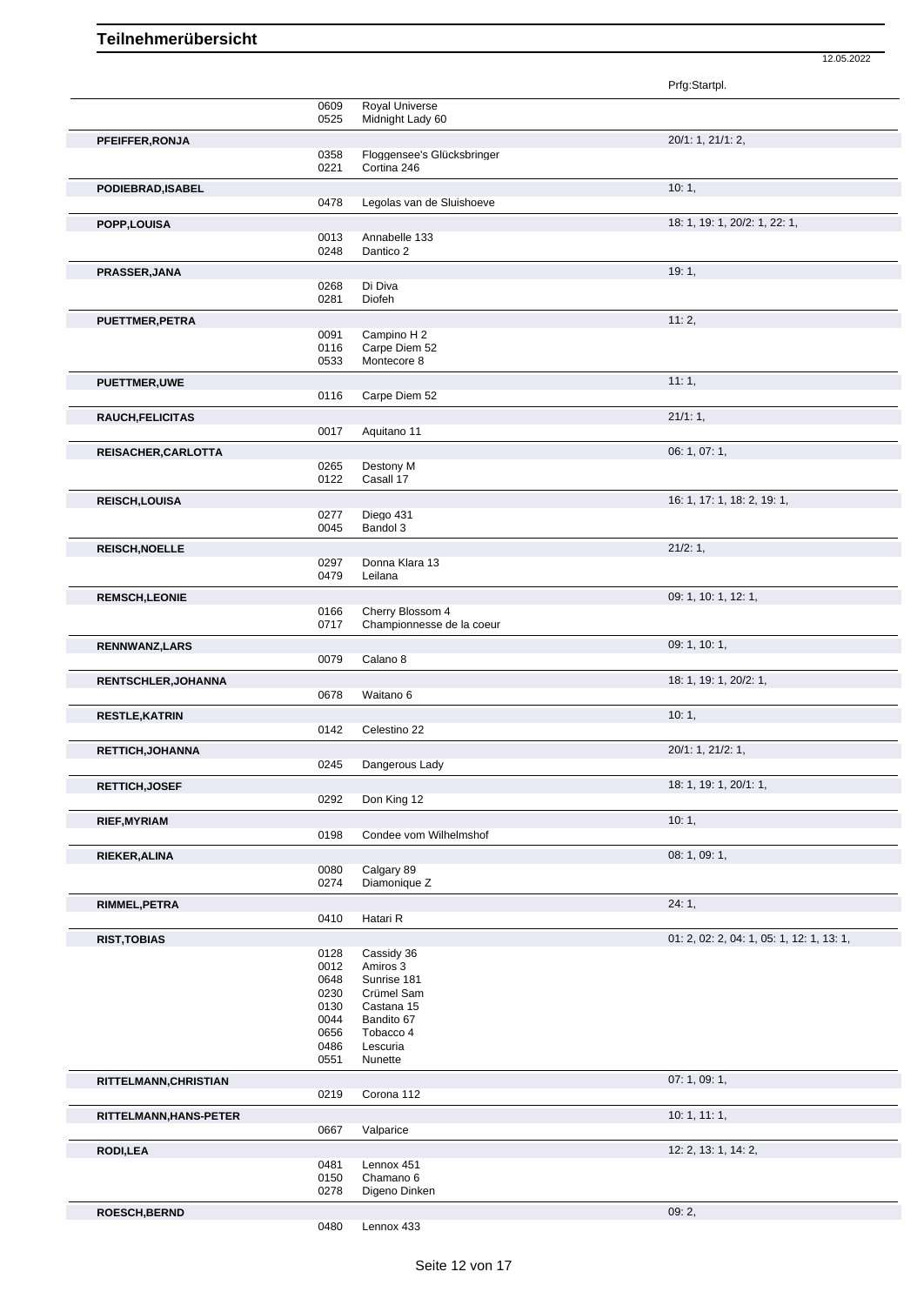|                            |              |                              | Prfg:Startpl.                             |
|----------------------------|--------------|------------------------------|-------------------------------------------|
|                            | 0609         | Royal Universe               |                                           |
|                            | 0525         | Midnight Lady 60             |                                           |
| PFEIFFER, RONJA            |              |                              | 20/1: 1, 21/1: 2,                         |
|                            | 0358         | Floggensee's Glücksbringer   |                                           |
|                            | 0221         | Cortina 246                  |                                           |
| PODIEBRAD, ISABEL          |              |                              | 10:1,                                     |
|                            | 0478         | Legolas van de Sluishoeve    |                                           |
| POPP, LOUISA               |              |                              | 18: 1, 19: 1, 20/2: 1, 22: 1,             |
|                            | 0013         | Annabelle 133                |                                           |
|                            | 0248         | Dantico 2                    |                                           |
| PRASSER, JANA              |              |                              | 19:1,                                     |
|                            | 0268         | Di Diva                      |                                           |
|                            | 0281         | Diofeh                       |                                           |
| PUETTMER, PETRA            |              |                              | 11:2,                                     |
|                            | 0091         | Campino H 2                  |                                           |
|                            | 0116<br>0533 | Carpe Diem 52<br>Montecore 8 |                                           |
|                            |              |                              |                                           |
| <b>PUETTMER,UWE</b>        |              |                              | 11:1,                                     |
|                            | 0116         | Carpe Diem 52                |                                           |
| RAUCH, FELICITAS           |              |                              | 21/1:1,                                   |
|                            | 0017         | Aquitano 11                  |                                           |
| REISACHER, CARLOTTA        |              |                              | 06: 1, 07: 1,                             |
|                            | 0265         | Destony M                    |                                           |
|                            | 0122         | Casall 17                    |                                           |
| REISCH, LOUISA             |              |                              | 16: 1, 17: 1, 18: 2, 19: 1,               |
|                            | 0277         | Diego 431                    |                                           |
|                            | 0045         | Bandol 3                     |                                           |
| <b>REISCH, NOELLE</b>      |              |                              | 21/2:1,                                   |
|                            | 0297         | Donna Klara 13               |                                           |
|                            | 0479         | Leilana                      |                                           |
| <b>REMSCH,LEONIE</b>       |              |                              | 09: 1, 10: 1, 12: 1,                      |
|                            | 0166         | Cherry Blossom 4             |                                           |
|                            | 0717         | Championnesse de la coeur    |                                           |
| RENNWANZ, LARS             |              |                              | 09: 1, 10: 1,                             |
|                            | 0079         | Calano 8                     |                                           |
| <b>RENTSCHLER, JOHANNA</b> |              |                              | 18: 1, 19: 1, 20/2: 1,                    |
|                            | 0678         | Waitano 6                    |                                           |
| <b>RESTLE, KATRIN</b>      |              |                              | 10:1,                                     |
|                            | 0142         | Celestino 22                 |                                           |
| RETTICH, JOHANNA           |              |                              | 20/1: 1, 21/2: 1,                         |
|                            | 0245         | Dangerous Lady               |                                           |
| RETTICH, JOSEF             |              |                              | 18: 1, 19: 1, 20/1: 1,                    |
|                            | 0292         | Don King 12                  |                                           |
| <b>RIEF, MYRIAM</b>        |              |                              | 10:1,                                     |
|                            | 0198         | Condee vom Wilhelmshof       |                                           |
|                            |              |                              | 08: 1, 09: 1,                             |
| <b>RIEKER, ALINA</b>       | 0080         | Calgary 89                   |                                           |
|                            | 0274         | Diamonique Z                 |                                           |
| RIMMEL, PETRA              |              |                              | 24:1,                                     |
|                            | 0410         | Hatari R                     |                                           |
|                            |              |                              |                                           |
| <b>RIST, TOBIAS</b>        | 0128         | Cassidy 36                   | 01: 2, 02: 2, 04: 1, 05: 1, 12: 1, 13: 1, |
|                            | 0012         | Amiros 3                     |                                           |
|                            | 0648         | Sunrise 181                  |                                           |
|                            | 0230         | Crümel Sam                   |                                           |
|                            | 0130         | Castana 15                   |                                           |
|                            | 0044<br>0656 | Bandito 67<br>Tobacco 4      |                                           |
|                            | 0486         | Lescuria                     |                                           |
|                            | 0551         | Nunette                      |                                           |
| RITTELMANN, CHRISTIAN      |              |                              | 07: 1, 09: 1,                             |
|                            | 0219         | Corona 112                   |                                           |
|                            |              |                              | 10: 1, 11: 1,                             |
| RITTELMANN, HANS-PETER     | 0667         | Valparice                    |                                           |
|                            |              |                              |                                           |
| <b>RODI,LEA</b>            |              |                              | 12: 2, 13: 1, 14: 2,                      |
|                            | 0481<br>0150 | Lennox 451<br>Chamano 6      |                                           |
|                            | 0278         | Digeno Dinken                |                                           |
| <b>ROESCH, BERND</b>       |              |                              | 09:2,                                     |
|                            | 0480         | Lennox 433                   |                                           |
|                            |              |                              |                                           |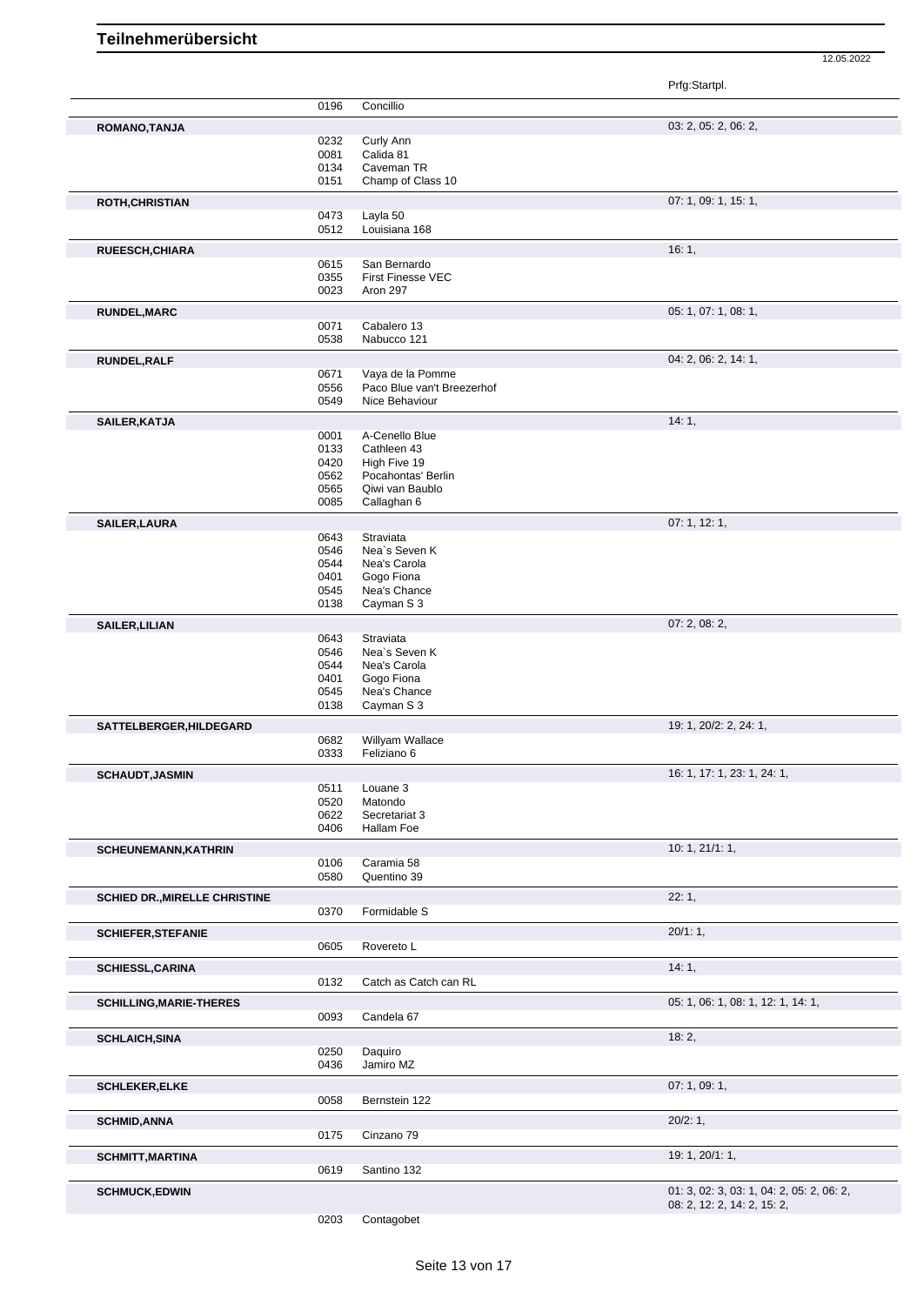|                                      |              |                                       | Prfg:Startpl.                             |
|--------------------------------------|--------------|---------------------------------------|-------------------------------------------|
|                                      | 0196         | Concillio                             |                                           |
| ROMANO, TANJA                        |              |                                       | 03: 2, 05: 2, 06: 2,                      |
|                                      | 0232         | Curly Ann                             |                                           |
|                                      | 0081         | Calida 81                             |                                           |
|                                      | 0134         | Caveman TR                            |                                           |
|                                      | 0151         | Champ of Class 10                     |                                           |
| ROTH, CHRISTIAN                      |              |                                       | 07: 1, 09: 1, 15: 1,                      |
|                                      | 0473         | Layla 50                              |                                           |
|                                      | 0512         | Louisiana 168                         |                                           |
| RUEESCH, CHIARA                      |              |                                       | 16:1,                                     |
|                                      | 0615         | San Bernardo                          |                                           |
|                                      | 0355         | First Finesse VEC                     |                                           |
|                                      | 0023         | Aron 297                              |                                           |
| <b>RUNDEL, MARC</b>                  |              |                                       | 05: 1, 07: 1, 08: 1,                      |
|                                      | 0071         | Cabalero 13                           |                                           |
|                                      | 0538         | Nabucco 121                           |                                           |
| <b>RUNDEL, RALF</b>                  |              |                                       | 04: 2, 06: 2, 14: 1,                      |
|                                      | 0671         | Vaya de la Pomme                      |                                           |
|                                      | 0556         | Paco Blue van't Breezerhof            |                                           |
|                                      | 0549         | Nice Behaviour                        |                                           |
| SAILER, KATJA                        |              |                                       | 14:1,                                     |
|                                      | 0001         | A-Cenello Blue                        |                                           |
|                                      | 0133         | Cathleen 43                           |                                           |
|                                      | 0420         | High Five 19                          |                                           |
|                                      | 0562<br>0565 | Pocahontas' Berlin<br>Qiwi van Baublo |                                           |
|                                      | 0085         | Callaghan 6                           |                                           |
|                                      |              |                                       |                                           |
| <b>SAILER, LAURA</b>                 |              |                                       | 07:1, 12:1,                               |
|                                      | 0643<br>0546 | Straviata<br>Nea's Seven K            |                                           |
|                                      | 0544         | Nea's Carola                          |                                           |
|                                      | 0401         | Gogo Fiona                            |                                           |
|                                      | 0545         | Nea's Chance                          |                                           |
|                                      | 0138         | Cayman S 3                            |                                           |
| <b>SAILER, LILIAN</b>                |              |                                       | 07:2,08:2,                                |
|                                      | 0643         | Straviata                             |                                           |
|                                      | 0546         | Nea's Seven K                         |                                           |
|                                      | 0544         | Nea's Carola                          |                                           |
|                                      | 0401         | Gogo Fiona                            |                                           |
|                                      | 0545         | Nea's Chance                          |                                           |
|                                      | 0138         | Cayman S 3                            |                                           |
| SATTELBERGER, HILDEGARD              |              |                                       | 19: 1, 20/2: 2, 24: 1,                    |
|                                      | 0682         | Willyam Wallace                       |                                           |
|                                      | 0333         | Feliziano 6                           |                                           |
| <b>SCHAUDT, JASMIN</b>               |              |                                       | 16: 1, 17: 1, 23: 1, 24: 1,               |
|                                      | 0511         | Louane 3                              |                                           |
|                                      | 0520         | Matondo                               |                                           |
|                                      | 0622         | Secretariat 3                         |                                           |
|                                      | 0406         | Hallam Foe                            |                                           |
| <b>SCHEUNEMANN, KATHRIN</b>          |              |                                       | 10: 1, 21/1: 1,                           |
|                                      | 0106         | Caramia 58                            |                                           |
|                                      | 0580         | Quentino 39                           |                                           |
| <b>SCHIED DR., MIRELLE CHRISTINE</b> |              |                                       | 22:1,                                     |
|                                      | 0370         | Formidable S                          |                                           |
| <b>SCHIEFER, STEFANIE</b>            |              |                                       | 20/1:1,                                   |
|                                      | 0605         | Rovereto L                            |                                           |
| <b>SCHIESSL, CARINA</b>              |              |                                       | 14:1,                                     |
|                                      | 0132         | Catch as Catch can RL                 |                                           |
|                                      |              |                                       |                                           |
| <b>SCHILLING, MARIE-THERES</b>       |              |                                       | 05: 1, 06: 1, 08: 1, 12: 1, 14: 1,        |
|                                      | 0093         | Candela 67                            |                                           |
| <b>SCHLAICH, SINA</b>                |              |                                       | 18:2,                                     |
|                                      | 0250         | Daquiro                               |                                           |
|                                      | 0436         | Jamiro MZ                             |                                           |
| <b>SCHLEKER, ELKE</b>                |              |                                       | 07:1,09:1,                                |
|                                      | 0058         | Bernstein 122                         |                                           |
| <b>SCHMID, ANNA</b>                  |              |                                       | 20/2:1,                                   |
|                                      | 0175         | Cinzano 79                            |                                           |
|                                      |              |                                       |                                           |
| <b>SCHMITT, MARTINA</b>              |              |                                       | 19: 1, 20/1: 1,                           |
|                                      | 0619         | Santino 132                           |                                           |
| <b>SCHMUCK,EDWIN</b>                 |              |                                       | 01: 3, 02: 3, 03: 1, 04: 2, 05: 2, 06: 2, |
|                                      |              |                                       | 08: 2, 12: 2, 14: 2, 15: 2,               |

Contagobet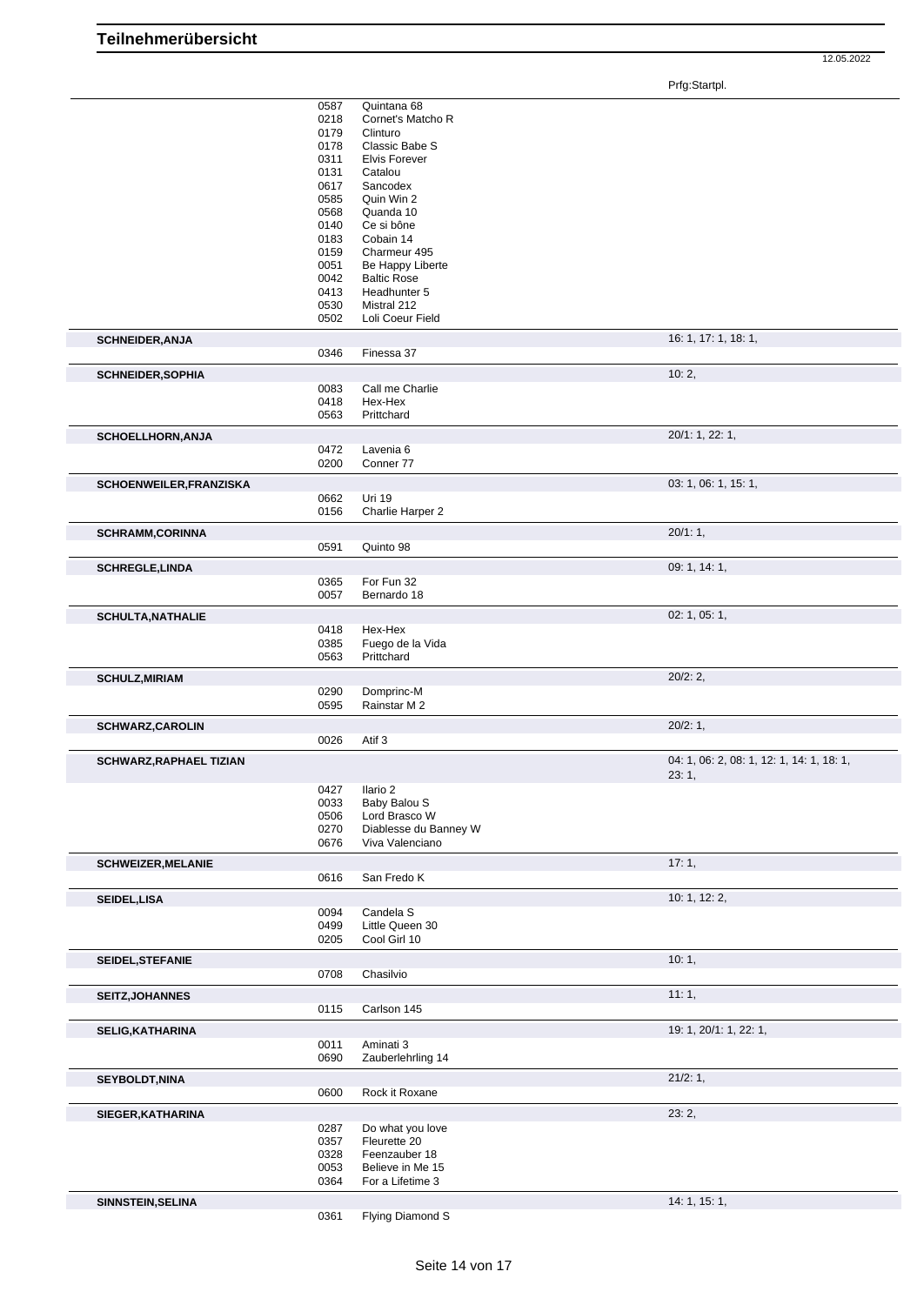Prfg:Startpl.

|                                | 0587<br>0218<br>0179<br>0178<br>0311<br>0131<br>0617<br>0585<br>0568<br>0140<br>0183<br>0159<br>0051<br>0042<br>0413<br>0530<br>0502 | Quintana 68<br>Cornet's Matcho R<br>Clinturo<br>Classic Babe S<br><b>Elvis Forever</b><br>Catalou<br>Sancodex<br>Quin Win 2<br>Quanda 10<br>Ce si bône<br>Cobain 14<br>Charmeur 495<br>Be Happy Liberte<br><b>Baltic Rose</b><br>Headhunter 5<br>Mistral 212<br>Loli Coeur Field |                                           |
|--------------------------------|--------------------------------------------------------------------------------------------------------------------------------------|----------------------------------------------------------------------------------------------------------------------------------------------------------------------------------------------------------------------------------------------------------------------------------|-------------------------------------------|
| <b>SCHNEIDER, ANJA</b>         |                                                                                                                                      |                                                                                                                                                                                                                                                                                  | 16: 1, 17: 1, 18: 1,                      |
|                                | 0346                                                                                                                                 | Finessa 37                                                                                                                                                                                                                                                                       |                                           |
| <b>SCHNEIDER, SOPHIA</b>       |                                                                                                                                      |                                                                                                                                                                                                                                                                                  | 10:2,                                     |
|                                | 0083                                                                                                                                 | Call me Charlie                                                                                                                                                                                                                                                                  |                                           |
|                                | 0418<br>0563                                                                                                                         | Hex-Hex<br>Prittchard                                                                                                                                                                                                                                                            |                                           |
|                                |                                                                                                                                      |                                                                                                                                                                                                                                                                                  |                                           |
| SCHOELLHORN, ANJA              | 0472                                                                                                                                 | Lavenia 6                                                                                                                                                                                                                                                                        | 20/1: 1, 22: 1,                           |
|                                | 0200                                                                                                                                 | Conner 77                                                                                                                                                                                                                                                                        |                                           |
|                                |                                                                                                                                      |                                                                                                                                                                                                                                                                                  | 03: 1, 06: 1, 15: 1,                      |
| SCHOENWEILER, FRANZISKA        | 0662                                                                                                                                 | Uri 19                                                                                                                                                                                                                                                                           |                                           |
|                                | 0156                                                                                                                                 | Charlie Harper 2                                                                                                                                                                                                                                                                 |                                           |
| <b>SCHRAMM,CORINNA</b>         |                                                                                                                                      |                                                                                                                                                                                                                                                                                  | 20/1:1,                                   |
|                                | 0591                                                                                                                                 | Quinto 98                                                                                                                                                                                                                                                                        |                                           |
| <b>SCHREGLE, LINDA</b>         |                                                                                                                                      |                                                                                                                                                                                                                                                                                  | 09: 1, 14: 1,                             |
|                                | 0365                                                                                                                                 | For Fun 32                                                                                                                                                                                                                                                                       |                                           |
|                                | 0057                                                                                                                                 | Bernardo 18                                                                                                                                                                                                                                                                      |                                           |
| <b>SCHULTA, NATHALIE</b>       |                                                                                                                                      |                                                                                                                                                                                                                                                                                  | 02: 1, 05: 1,                             |
|                                | 0418                                                                                                                                 | Hex-Hex                                                                                                                                                                                                                                                                          |                                           |
|                                | 0385<br>0563                                                                                                                         | Fuego de la Vida<br>Prittchard                                                                                                                                                                                                                                                   |                                           |
|                                |                                                                                                                                      |                                                                                                                                                                                                                                                                                  |                                           |
| <b>SCHULZ, MIRIAM</b>          | 0290                                                                                                                                 |                                                                                                                                                                                                                                                                                  | 20/2:2,                                   |
|                                | 0595                                                                                                                                 | Domprinc-M<br>Rainstar M 2                                                                                                                                                                                                                                                       |                                           |
| <b>SCHWARZ, CAROLIN</b>        |                                                                                                                                      |                                                                                                                                                                                                                                                                                  | 20/2:1,                                   |
|                                | 0026                                                                                                                                 | Atif 3                                                                                                                                                                                                                                                                           |                                           |
|                                |                                                                                                                                      |                                                                                                                                                                                                                                                                                  | 04: 1, 06: 2, 08: 1, 12: 1, 14: 1, 18: 1, |
| <b>SCHWARZ, RAPHAEL TIZIAN</b> |                                                                                                                                      |                                                                                                                                                                                                                                                                                  | 23:1,                                     |
|                                | 0427<br>0033<br>0506<br>0270<br>0676                                                                                                 | Ilario 2<br>Baby Balou S<br>Lord Brasco W<br>Diablesse du Banney W<br>Viva Valenciano                                                                                                                                                                                            |                                           |
| <b>SCHWEIZER, MELANIE</b>      | 0616                                                                                                                                 | San Fredo K                                                                                                                                                                                                                                                                      | 17:1,                                     |
| SEIDEL, LISA                   |                                                                                                                                      |                                                                                                                                                                                                                                                                                  | 10: 1, 12: 2,                             |
|                                | 0094                                                                                                                                 | Candela S                                                                                                                                                                                                                                                                        |                                           |
|                                | 0499<br>0205                                                                                                                         | Little Queen 30<br>Cool Girl 10                                                                                                                                                                                                                                                  |                                           |
|                                |                                                                                                                                      |                                                                                                                                                                                                                                                                                  |                                           |
| SEIDEL, STEFANIE               | 0708                                                                                                                                 | Chasilvio                                                                                                                                                                                                                                                                        | 10:1,                                     |
|                                |                                                                                                                                      |                                                                                                                                                                                                                                                                                  |                                           |
| <b>SEITZ, JOHANNES</b>         | 0115                                                                                                                                 | Carlson 145                                                                                                                                                                                                                                                                      | 11:1,                                     |
|                                |                                                                                                                                      |                                                                                                                                                                                                                                                                                  |                                           |
| <b>SELIG, KATHARINA</b>        | 0011                                                                                                                                 | Aminati 3                                                                                                                                                                                                                                                                        | 19: 1, 20/1: 1, 22: 1,                    |
|                                | 0690                                                                                                                                 | Zauberlehrling 14                                                                                                                                                                                                                                                                |                                           |
|                                |                                                                                                                                      |                                                                                                                                                                                                                                                                                  | 21/2:1,                                   |
| <b>SEYBOLDT, NINA</b>          | 0600                                                                                                                                 | Rock it Roxane                                                                                                                                                                                                                                                                   |                                           |
|                                |                                                                                                                                      |                                                                                                                                                                                                                                                                                  |                                           |
| SIEGER, KATHARINA              | 0287                                                                                                                                 | Do what you love                                                                                                                                                                                                                                                                 | 23:2,                                     |
|                                | 0357                                                                                                                                 | Fleurette 20                                                                                                                                                                                                                                                                     |                                           |
|                                | 0328                                                                                                                                 | Feenzauber 18                                                                                                                                                                                                                                                                    |                                           |
|                                | 0053                                                                                                                                 | Believe in Me 15                                                                                                                                                                                                                                                                 |                                           |
|                                | 0364                                                                                                                                 | For a Lifetime 3                                                                                                                                                                                                                                                                 |                                           |
| SINNSTEIN, SELINA              | 0361                                                                                                                                 | Flying Diamond S                                                                                                                                                                                                                                                                 | 14: 1, 15: 1,                             |
|                                |                                                                                                                                      |                                                                                                                                                                                                                                                                                  |                                           |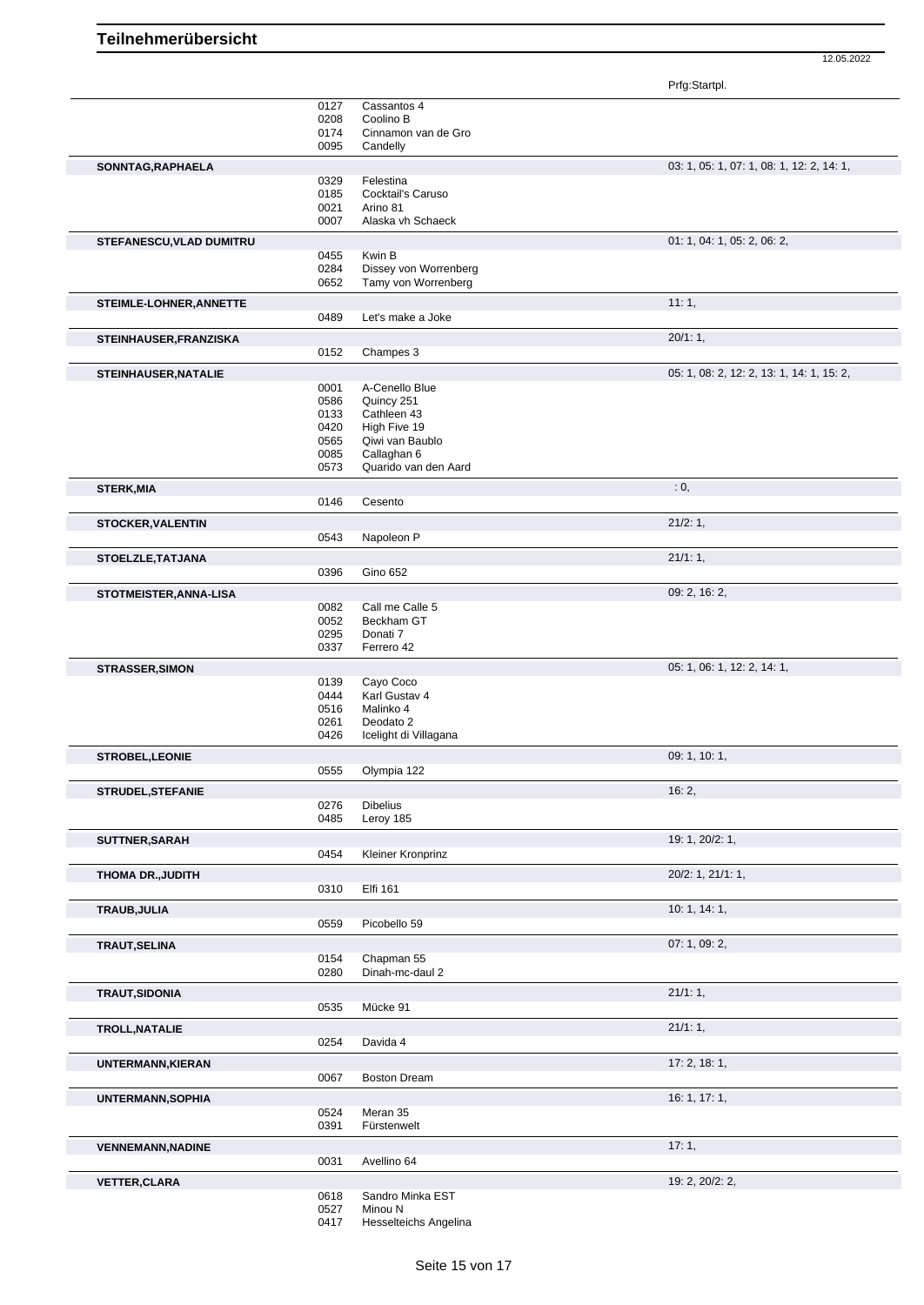Prfg:Startpl.

|                          | 0127 | Cassantos 4           |                                           |
|--------------------------|------|-----------------------|-------------------------------------------|
|                          | 0208 | Coolino B             |                                           |
|                          | 0174 | Cinnamon van de Gro   |                                           |
|                          | 0095 | Candelly              |                                           |
| SONNTAG, RAPHAELA        |      |                       | 03: 1, 05: 1, 07: 1, 08: 1, 12: 2, 14: 1, |
|                          | 0329 | Felestina             |                                           |
|                          |      |                       |                                           |
|                          | 0185 | Cocktail's Caruso     |                                           |
|                          | 0021 | Arino 81              |                                           |
|                          | 0007 | Alaska vh Schaeck     |                                           |
| STEFANESCU, VLAD DUMITRU |      |                       | 01: 1, 04: 1, 05: 2, 06: 2,               |
|                          |      | Kwin B                |                                           |
|                          | 0455 | Dissey von Worrenberg |                                           |
|                          | 0284 |                       |                                           |
|                          | 0652 | Tamy von Worrenberg   |                                           |
| STEIMLE-LOHNER, ANNETTE  |      |                       | 11:1,                                     |
|                          | 0489 | Let's make a Joke     |                                           |
|                          |      |                       |                                           |
| STEINHAUSER, FRANZISKA   |      |                       | 20/1:1,                                   |
|                          | 0152 | Champes 3             |                                           |
|                          |      |                       |                                           |
| STEINHAUSER, NATALIE     |      |                       | 05: 1, 08: 2, 12: 2, 13: 1, 14: 1, 15: 2, |
|                          | 0001 | A-Cenello Blue        |                                           |
|                          | 0586 | Quincy 251            |                                           |
|                          | 0133 | Cathleen 43           |                                           |
|                          | 0420 | High Five 19          |                                           |
|                          | 0565 | Qiwi van Baublo       |                                           |
|                          | 0085 | Callaghan 6           |                                           |
|                          |      |                       |                                           |
|                          | 0573 | Quarido van den Aard  |                                           |
| <b>STERK, MIA</b>        |      |                       | : 0,                                      |
|                          | 0146 | Cesento               |                                           |
|                          |      |                       |                                           |
| <b>STOCKER, VALENTIN</b> |      |                       | 21/2:1,                                   |
|                          | 0543 | Napoleon P            |                                           |
|                          |      |                       |                                           |
| STOELZLE, TATJANA        |      |                       | 21/1:1,                                   |
|                          | 0396 | <b>Gino 652</b>       |                                           |
|                          |      |                       | 09: 2, 16: 2,                             |
| STOTMEISTER, ANNA-LISA   |      |                       |                                           |
|                          | 0082 | Call me Calle 5       |                                           |
|                          | 0052 | Beckham GT            |                                           |
|                          | 0295 | Donati 7              |                                           |
|                          | 0337 | Ferrero 42            |                                           |
|                          |      |                       |                                           |
| <b>STRASSER, SIMON</b>   |      |                       | 05: 1, 06: 1, 12: 2, 14: 1,               |
|                          | 0139 | Cayo Coco             |                                           |
|                          | 0444 | Karl Gustav 4         |                                           |
|                          | 0516 | Malinko 4             |                                           |
|                          | 0261 | Deodato 2             |                                           |
|                          | 0426 | Icelight di Villagana |                                           |
|                          |      |                       |                                           |
| STROBEL, LEONIE          |      |                       | 09: 1, 10: 1,                             |
|                          | 0555 | Olympia 122           |                                           |
|                          |      |                       |                                           |
| STRUDEL, STEFANIE        |      |                       | 16:2,                                     |
|                          | 0276 | <b>Dibelius</b>       |                                           |
|                          | 0485 | Leroy 185             |                                           |
|                          |      |                       |                                           |
| SUTTNER, SARAH           |      |                       | 19: 1, 20/2: 1,                           |
|                          | 0454 | Kleiner Kronprinz     |                                           |
|                          |      |                       |                                           |
| <b>THOMA DR., JUDITH</b> |      |                       | 20/2: 1, 21/1: 1,                         |
|                          | 0310 | Elfi 161              |                                           |
| TRAUB, JULIA             |      |                       | 10: 1, 14: 1,                             |
|                          | 0559 | Picobello 59          |                                           |
|                          |      |                       |                                           |
| <b>TRAUT, SELINA</b>     |      |                       | 07: 1, 09: 2,                             |
|                          | 0154 | Chapman 55            |                                           |
|                          | 0280 | Dinah-mc-daul 2       |                                           |
|                          |      |                       |                                           |
| <b>TRAUT, SIDONIA</b>    |      |                       | 21/1:1,                                   |
|                          | 0535 | Mücke 91              |                                           |
|                          |      |                       |                                           |
| <b>TROLL, NATALIE</b>    |      |                       | 21/1:1,                                   |
|                          | 0254 | Davida 4              |                                           |
|                          |      |                       |                                           |
| UNTERMANN, KIERAN        |      |                       | 17:2, 18:1,                               |
|                          | 0067 | <b>Boston Dream</b>   |                                           |
|                          |      |                       | 16: 1, 17: 1,                             |
| <b>UNTERMANN, SOPHIA</b> |      |                       |                                           |
|                          | 0524 | Meran 35              |                                           |
|                          | 0391 | Fürstenwelt           |                                           |
|                          |      |                       | 17:1,                                     |
| <b>VENNEMANN, NADINE</b> |      |                       |                                           |
|                          | 0031 | Avellino 64           |                                           |
| <b>VETTER, CLARA</b>     |      |                       | 19: 2, 20/2: 2,                           |
|                          | 0618 | Sandro Minka EST      |                                           |
|                          | 0527 | Minou N               |                                           |
|                          |      | Hesselteichs Angelina |                                           |
|                          | 0417 |                       |                                           |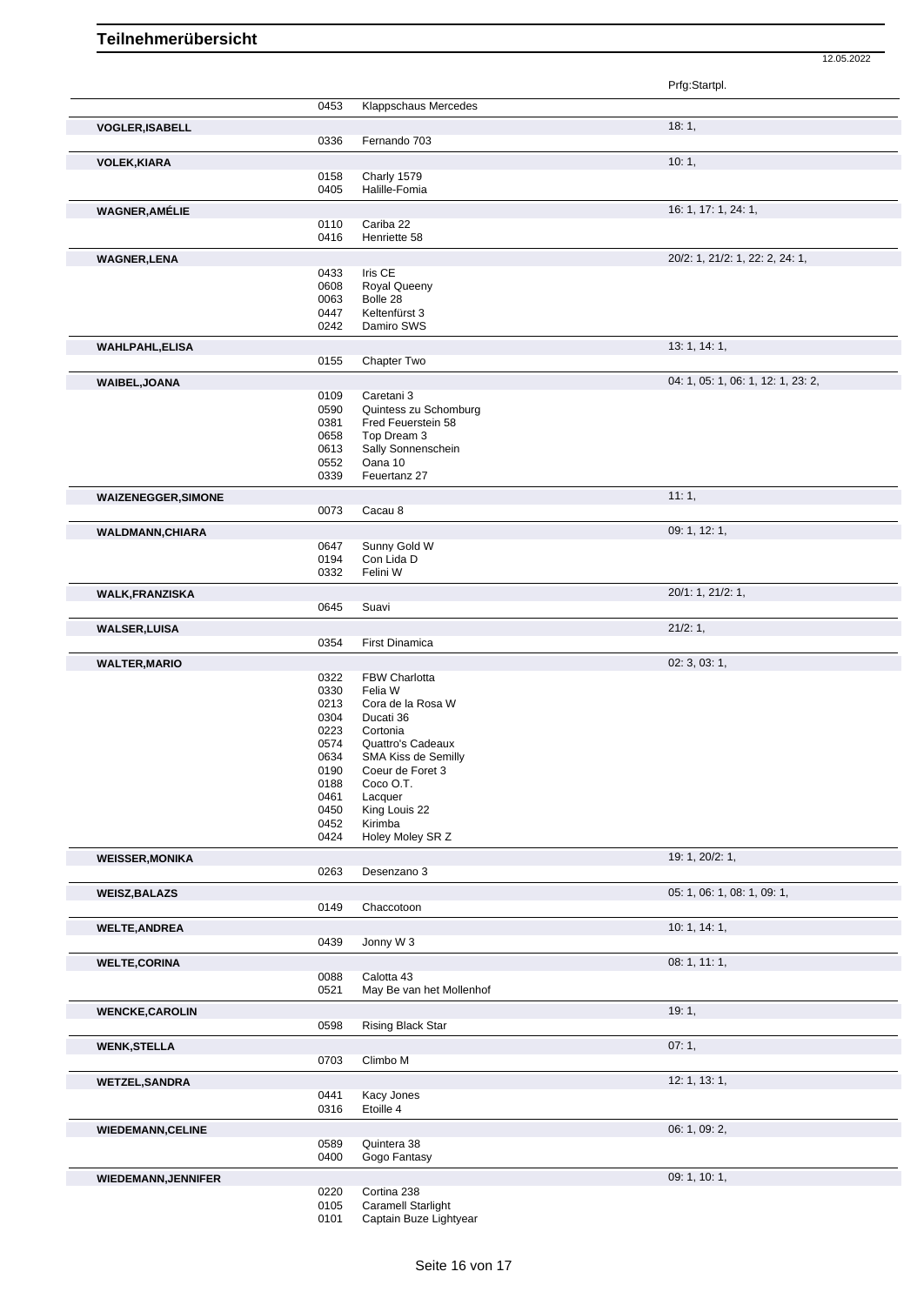|                            |              |                                         | Prfg:Startpl.                      |
|----------------------------|--------------|-----------------------------------------|------------------------------------|
|                            | 0453         | Klappschaus Mercedes                    |                                    |
| <b>VOGLER, ISABELL</b>     |              |                                         | 18:1,                              |
|                            | 0336         | Fernando 703                            |                                    |
| <b>VOLEK, KIARA</b>        |              |                                         | 10:1,                              |
|                            | 0158         | Charly 1579                             |                                    |
|                            | 0405         | Halille-Fomia                           |                                    |
| <b>WAGNER, AMÉLIE</b>      |              |                                         | 16: 1, 17: 1, 24: 1,               |
|                            | 0110         | Cariba 22                               |                                    |
|                            | 0416         | Henriette 58                            |                                    |
| <b>WAGNER,LENA</b>         | 0433         | Iris CE                                 | 20/2: 1, 21/2: 1, 22: 2, 24: 1,    |
|                            | 0608         | <b>Royal Queeny</b>                     |                                    |
|                            | 0063         | Bolle 28                                |                                    |
|                            | 0447<br>0242 | Keltenfürst 3<br>Damiro SWS             |                                    |
|                            |              |                                         |                                    |
| <b>WAHLPAHL,ELISA</b>      | 0155         | Chapter Two                             | 13: 1, 14: 1,                      |
|                            |              |                                         |                                    |
| WAIBEL, JOANA              | 0109         | Caretani 3                              | 04: 1, 05: 1, 06: 1, 12: 1, 23: 2, |
|                            | 0590         | Quintess zu Schomburg                   |                                    |
|                            | 0381         | Fred Feuerstein 58                      |                                    |
|                            | 0658<br>0613 | Top Dream 3<br>Sally Sonnenschein       |                                    |
|                            | 0552         | Oana 10                                 |                                    |
|                            | 0339         | Feuertanz 27                            |                                    |
| <b>WAIZENEGGER, SIMONE</b> |              |                                         | 11:1,                              |
|                            | 0073         | Cacau 8                                 |                                    |
| <b>WALDMANN, CHIARA</b>    |              |                                         | 09: 1, 12: 1,                      |
|                            | 0647         | Sunny Gold W                            |                                    |
|                            | 0194<br>0332 | Con Lida D<br>Felini W                  |                                    |
|                            |              |                                         |                                    |
| <b>WALK, FRANZISKA</b>     | 0645         | Suavi                                   | 20/1: 1, 21/2: 1,                  |
|                            |              |                                         | 21/2:1,                            |
| <b>WALSER, LUISA</b>       | 0354         | First Dinamica                          |                                    |
| <b>WALTER, MARIO</b>       |              |                                         | 02: 3, 03: 1,                      |
|                            | 0322         | FBW Charlotta                           |                                    |
|                            | 0330         | Felia W                                 |                                    |
|                            | 0213<br>0304 | Cora de la Rosa W<br>Ducati 36          |                                    |
|                            | 0223         | Cortonia                                |                                    |
|                            | 0574         | Quattro's Cadeaux                       |                                    |
|                            | 0634<br>0190 | SMA Kiss de Semilly<br>Coeur de Foret 3 |                                    |
|                            | 0188         | Coco O.T.                               |                                    |
|                            | 0461         | Lacquer                                 |                                    |
|                            | 0450         | King Louis 22                           |                                    |
|                            | 0452<br>0424 | Kirimba<br>Holey Moley SR Z             |                                    |
| <b>WEISSER, MONIKA</b>     |              |                                         | 19: 1, 20/2: 1,                    |
|                            | 0263         | Desenzano 3                             |                                    |
| <b>WEISZ, BALAZS</b>       |              |                                         | 05: 1, 06: 1, 08: 1, 09: 1,        |
|                            | 0149         | Chaccotoon                              |                                    |
| <b>WELTE, ANDREA</b>       |              |                                         | 10: 1, 14: 1,                      |
|                            | 0439         | Jonny W <sub>3</sub>                    |                                    |
| <b>WELTE,CORINA</b>        |              |                                         | 08: 1, 11: 1,                      |
|                            | 0088         | Calotta 43                              |                                    |
|                            | 0521         | May Be van het Mollenhof                |                                    |
| <b>WENCKE,CAROLIN</b>      |              |                                         | 19:1,                              |
|                            | 0598         | Rising Black Star                       |                                    |
| <b>WENK, STELLA</b>        |              |                                         | 07:1,                              |
|                            | 0703         | Climbo M                                |                                    |
| <b>WETZEL, SANDRA</b>      |              |                                         | 12: 1, 13: 1,                      |
|                            | 0441         | Kacy Jones                              |                                    |
|                            | 0316         | Etoille 4                               |                                    |
| <b>WIEDEMANN,CELINE</b>    |              |                                         | 06: 1, 09: 2,                      |
|                            | 0589<br>0400 | Quintera 38<br>Gogo Fantasy             |                                    |
|                            |              |                                         | 09: 1, 10: 1,                      |
| <b>WIEDEMANN, JENNIFER</b> | 0220         | Cortina 238                             |                                    |
|                            | 0105         | <b>Caramell Starlight</b>               |                                    |
|                            | 0101         | Captain Buze Lightyear                  |                                    |